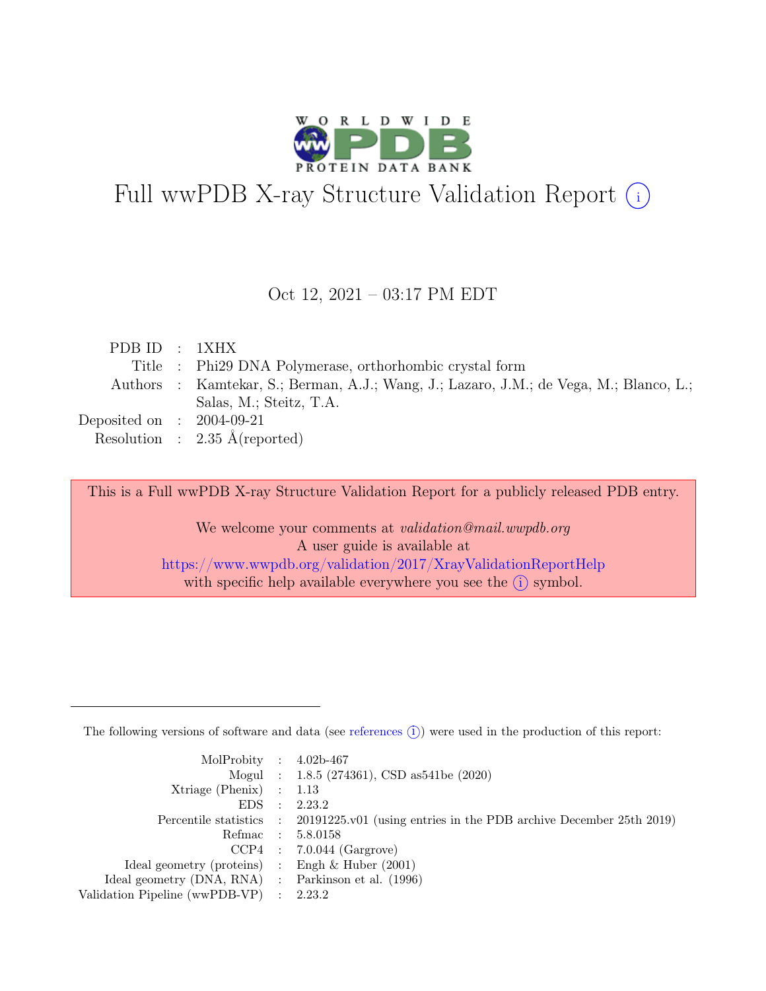

# Full wwPDB X-ray Structure Validation Report  $(i)$

#### Oct 12, 2021 – 03:17 PM EDT

| PDBID : 1XHX                |                                                                                        |
|-----------------------------|----------------------------------------------------------------------------------------|
|                             | Title : Phi29 DNA Polymerase, orthorhombic crystal form                                |
|                             | Authors : Kamtekar, S.; Berman, A.J.; Wang, J.; Lazaro, J.M.; de Vega, M.; Blanco, L.; |
|                             | Salas, M.; Steitz, T.A.                                                                |
| Deposited on : $2004-09-21$ |                                                                                        |
|                             | Resolution : $2.35 \text{ Å}$ (reported)                                               |

This is a Full wwPDB X-ray Structure Validation Report for a publicly released PDB entry.

We welcome your comments at *validation@mail.wwpdb.org* A user guide is available at <https://www.wwpdb.org/validation/2017/XrayValidationReportHelp> with specific help available everywhere you see the  $(i)$  symbol.

The following versions of software and data (see [references](https://www.wwpdb.org/validation/2017/XrayValidationReportHelp#references)  $(i)$ ) were used in the production of this report:

| MolProbity : $4.02b-467$                            |           |                                                                                            |
|-----------------------------------------------------|-----------|--------------------------------------------------------------------------------------------|
|                                                     |           | Mogul : 1.8.5 (274361), CSD as 541be (2020)                                                |
| $Xtriangle (Phenix)$ : 1.13                         |           |                                                                                            |
| EDS –                                               | $\cdot$ : | 2.23.2                                                                                     |
|                                                     |           | Percentile statistics : 20191225.v01 (using entries in the PDB archive December 25th 2019) |
| Refmac : 5.8.0158                                   |           |                                                                                            |
|                                                     |           | $CCP4$ : 7.0.044 (Gargrove)                                                                |
| Ideal geometry (proteins) : Engh $\&$ Huber (2001)  |           |                                                                                            |
| Ideal geometry (DNA, RNA) : Parkinson et al. (1996) |           |                                                                                            |
| Validation Pipeline (wwPDB-VP) : 2.23.2             |           |                                                                                            |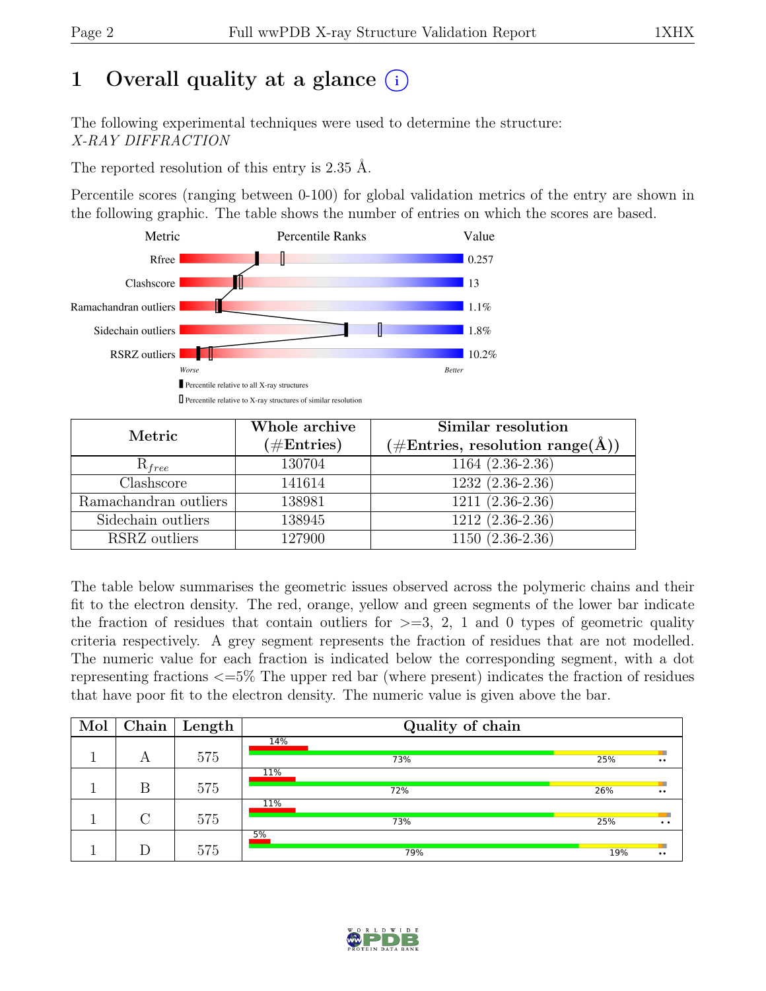# 1 Overall quality at a glance  $(i)$

The following experimental techniques were used to determine the structure: X-RAY DIFFRACTION

The reported resolution of this entry is 2.35 Å.

Percentile scores (ranging between 0-100) for global validation metrics of the entry are shown in the following graphic. The table shows the number of entries on which the scores are based.



| Metric                | Whole archive<br>$(\#Entries)$ | Similar resolution<br>$(\# \text{Entries}, \text{ resolution } \text{range}(\AA))$ |  |  |
|-----------------------|--------------------------------|------------------------------------------------------------------------------------|--|--|
| $R_{free}$            | 130704                         | $1164(2.36-2.36)$                                                                  |  |  |
| Clashscore            | 141614                         | $1232(2.36-2.36)$                                                                  |  |  |
| Ramachandran outliers | 138981                         | $1211(2.36-2.36)$                                                                  |  |  |
| Sidechain outliers    | 138945                         | $1212 (2.36 - 2.36)$                                                               |  |  |
| RSRZ outliers         | 127900                         | $1150(2.36-2.36)$                                                                  |  |  |

The table below summarises the geometric issues observed across the polymeric chains and their fit to the electron density. The red, orange, yellow and green segments of the lower bar indicate the fraction of residues that contain outliers for  $\geq$ =3, 2, 1 and 0 types of geometric quality criteria respectively. A grey segment represents the fraction of residues that are not modelled. The numeric value for each fraction is indicated below the corresponding segment, with a dot representing fractions <=5% The upper red bar (where present) indicates the fraction of residues that have poor fit to the electron density. The numeric value is given above the bar.

| Mol | Chain | Length | Quality of chain |     |                                              |
|-----|-------|--------|------------------|-----|----------------------------------------------|
|     |       |        | 14%              |     | ш                                            |
|     | А     | 575    | 73%              | 25% | $\bullet$ $\bullet$                          |
|     |       |        | 11%              |     | ш                                            |
|     | B     | 575    | 72%              | 26% | $\bullet\bullet$                             |
|     |       |        | 11%              |     |                                              |
|     |       | 575    | 73%              | 25% | $\bullet\hspace{0.4mm}\bullet\hspace{0.4mm}$ |
|     |       |        | 5%               |     |                                              |
|     |       | 575    | 79%              | 19% | ш<br>$\bullet$ $\bullet$                     |

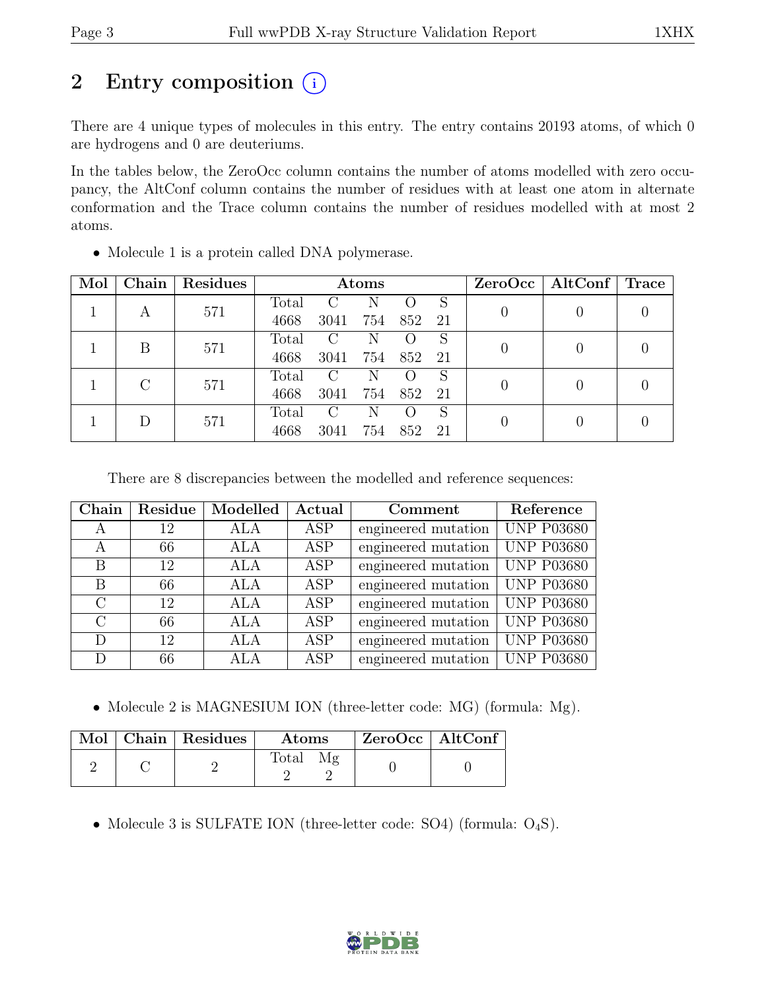# 2 Entry composition  $(i)$

There are 4 unique types of molecules in this entry. The entry contains 20193 atoms, of which 0 are hydrogens and 0 are deuteriums.

In the tables below, the ZeroOcc column contains the number of atoms modelled with zero occupancy, the AltConf column contains the number of residues with at least one atom in alternate conformation and the Trace column contains the number of residues modelled with at most 2 atoms.

| Mol | Chain         | Residues | Atoms |                        |     |     |    | $ZeroOcc \mid AltConf \mid$ | Trace |  |
|-----|---------------|----------|-------|------------------------|-----|-----|----|-----------------------------|-------|--|
|     |               | 571      | Total | $\left( \cdot \right)$ | N   |     | S  |                             |       |  |
|     | A             |          | 4668  | 3041                   | 754 | 852 | 21 |                             |       |  |
|     | В             | 571      | Total | C                      | N   |     | S  |                             |       |  |
|     |               |          | 4668  | 3041                   | 754 | 852 | 21 |                             |       |  |
|     | $\mathcal{C}$ | 571      | Total | C                      | N   |     | S  |                             |       |  |
|     |               | 4668     | 3041  | 754                    | 852 | 21  |    |                             |       |  |
|     |               |          | Total | $\rm C$                | N   |     | S  |                             |       |  |
|     | 571           | 4668     | 3041  | 754                    | 852 | 21  |    |                             |       |  |

• Molecule 1 is a protein called DNA polymerase.

There are 8 discrepancies between the modelled and reference sequences:

| Chain         | Residue | Modelled   | Actual     | Comment             | Reference         |
|---------------|---------|------------|------------|---------------------|-------------------|
| A             | 12      | ALA        | ASP        | engineered mutation | <b>UNP P03680</b> |
| A             | 66      | ALA        | ASP        | engineered mutation | <b>UNP P03680</b> |
| B             | 12      | ALA        | ASP        | engineered mutation | <b>UNP P03680</b> |
| B             | 66      | ALA        | ASP        | engineered mutation | <b>UNP P03680</b> |
| $\mathcal{C}$ | 12      | <b>ALA</b> | ASP        | engineered mutation | <b>UNP P03680</b> |
| $\bigcap$     | 66      | ALA        | ASP        | engineered mutation | <b>UNP P03680</b> |
| D             | 12      | ALA        | <b>ASP</b> | engineered mutation | <b>UNP P03680</b> |
| D             | 66      | ALA        | <b>ASP</b> | engineered mutation | <b>UNP P03680</b> |

• Molecule 2 is MAGNESIUM ION (three-letter code: MG) (formula: Mg).

|  | $\text{Mol}$   Chain   Residues | Atoms | $ZeroOcc \   \ AltConf$ |  |
|--|---------------------------------|-------|-------------------------|--|
|  |                                 | Total |                         |  |

• Molecule 3 is SULFATE ION (three-letter code: SO4) (formula:  $O_4S$ ).

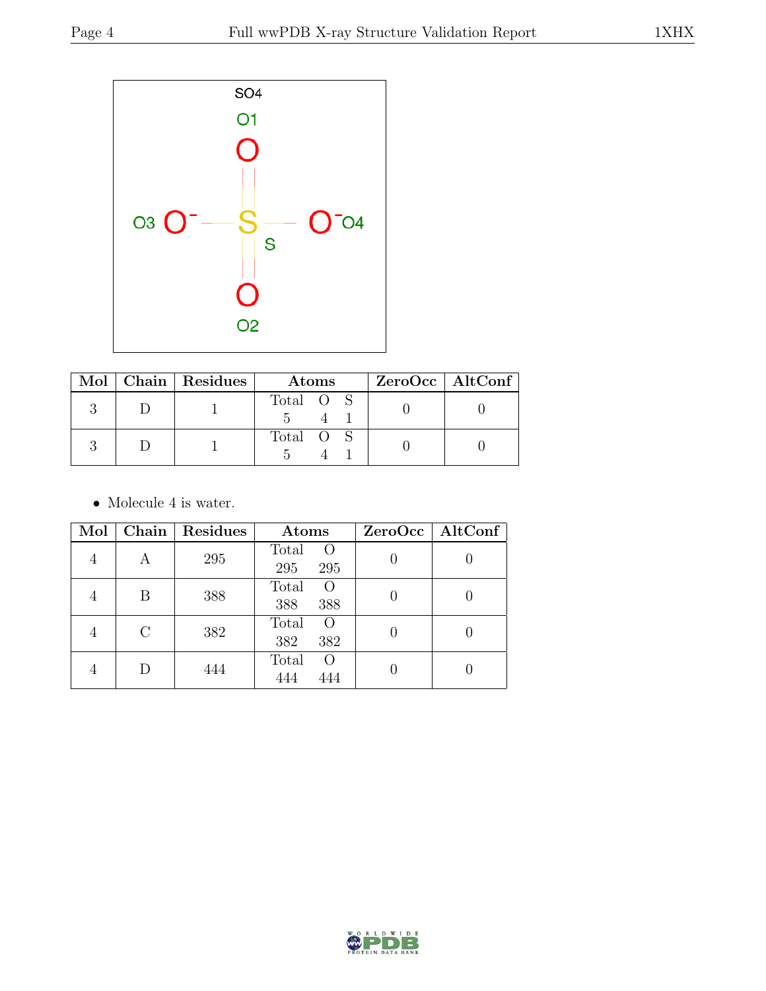

|  | $\text{Mol}$   Chain   Residues | Atoms     | $ZeroOcc \   \$ AltConf |
|--|---------------------------------|-----------|-------------------------|
|  |                                 | Total O S |                         |
|  |                                 | Total O S |                         |

 $\bullet\,$  Molecule 4 is water.

| Mol |         | Chain   Residues | Atoms                           | ZeroOcc   AltConf |
|-----|---------|------------------|---------------------------------|-------------------|
| 4   | А       | 295              | Total<br>$\Omega$<br>295<br>295 |                   |
| ↤   | Β       | 388              | Total<br>$\Omega$<br>388<br>388 |                   |
| 4   | $\rm C$ | 382              | Total<br>$\Omega$<br>382<br>382 |                   |
|     | D       | 444              | Total<br>$\Omega$<br>444<br>444 |                   |

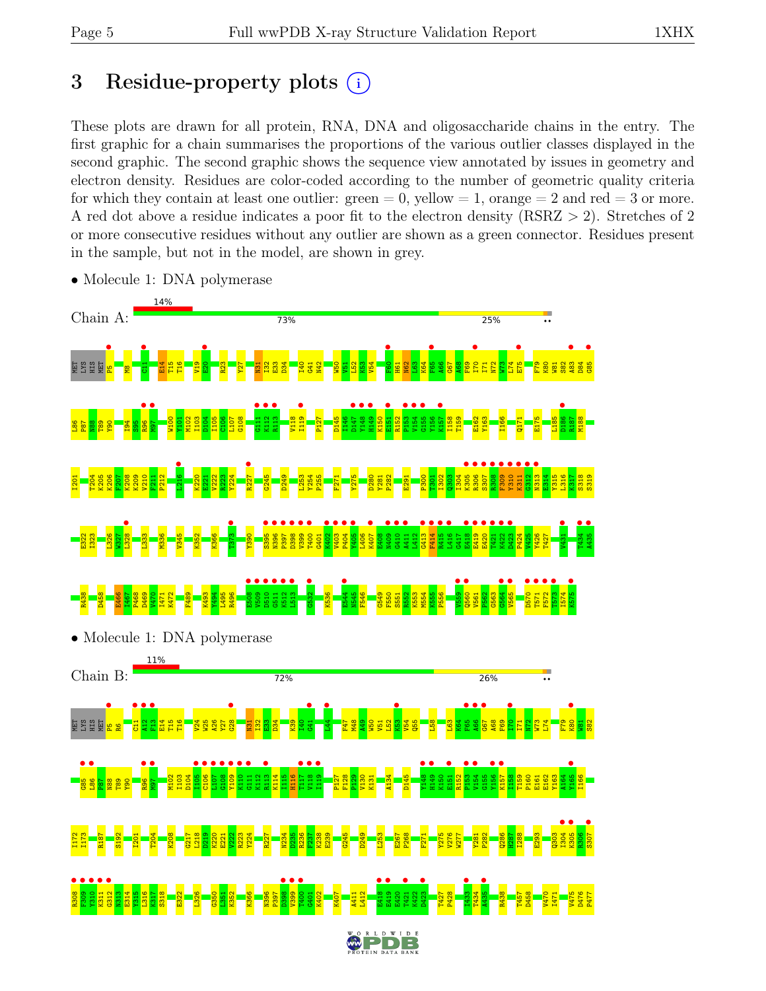# 3 Residue-property plots  $(i)$

These plots are drawn for all protein, RNA, DNA and oligosaccharide chains in the entry. The first graphic for a chain summarises the proportions of the various outlier classes displayed in the second graphic. The second graphic shows the sequence view annotated by issues in geometry and electron density. Residues are color-coded according to the number of geometric quality criteria for which they contain at least one outlier:  $green = 0$ , yellow  $= 1$ , orange  $= 2$  and red  $= 3$  or more. A red dot above a residue indicates a poor fit to the electron density (RSRZ > 2). Stretches of 2 or more consecutive residues without any outlier are shown as a green connector. Residues present in the sample, but not in the model, are shown in grey.



• Molecule 1: DNA polymerase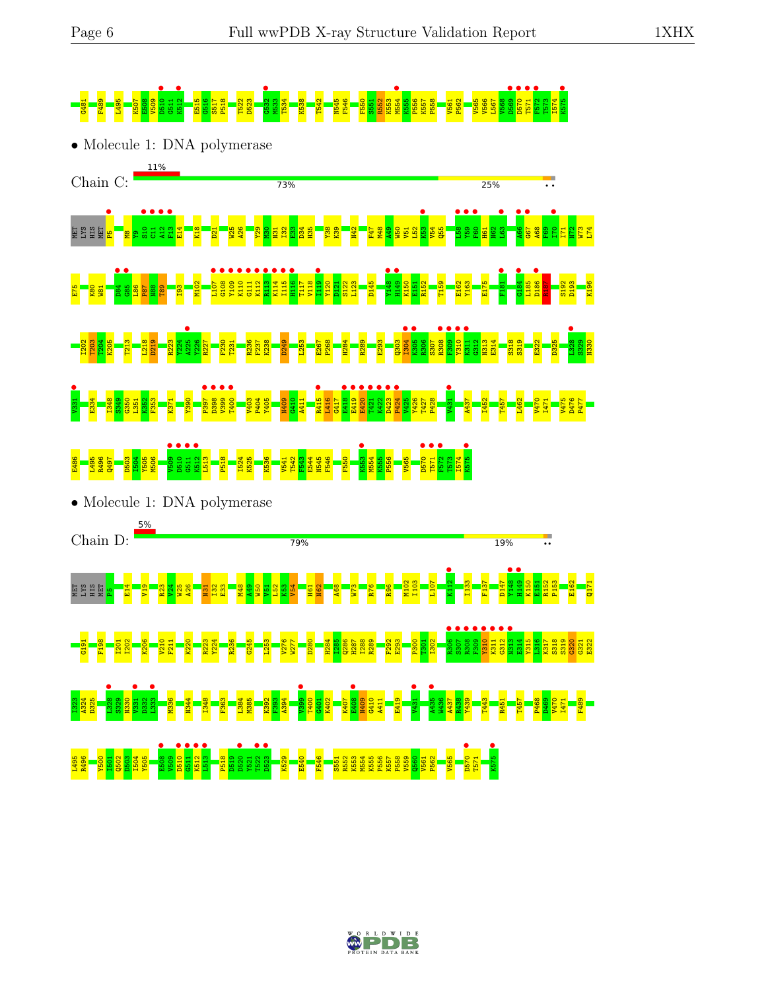

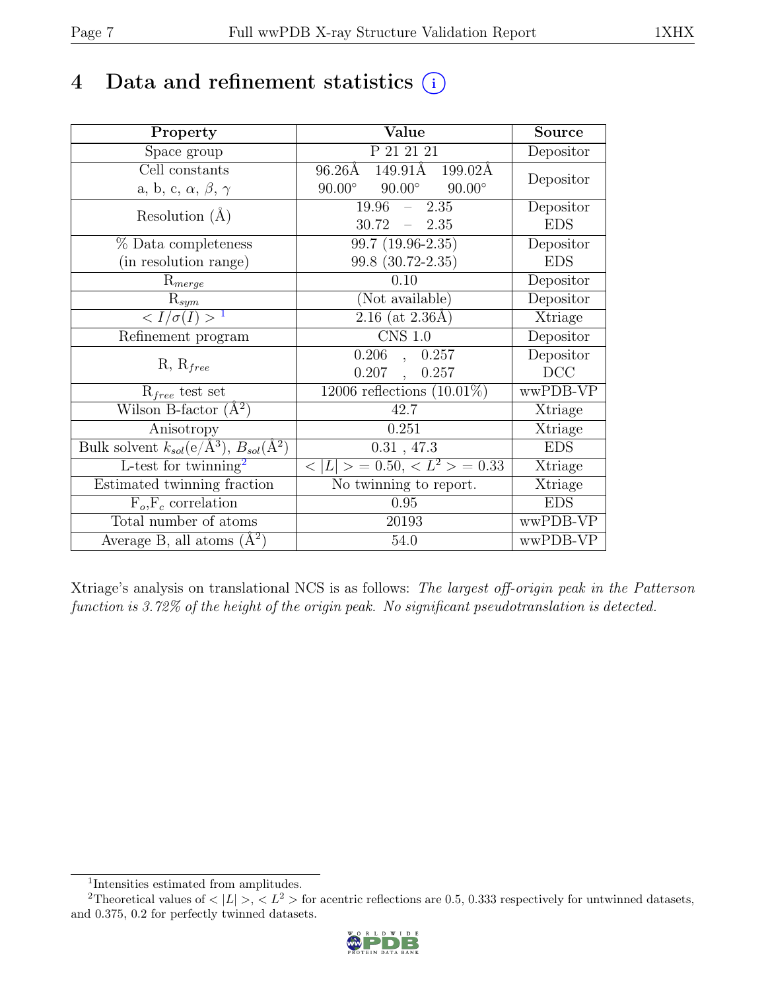# 4 Data and refinement statistics  $(i)$

| Property                                                             | Value                                                                 | <b>Source</b> |
|----------------------------------------------------------------------|-----------------------------------------------------------------------|---------------|
| Space group                                                          | P 21 21 21                                                            | Depositor     |
| Cell constants                                                       | $96.26\text{\AA}$ $\overline{149.91\text{\AA}}$<br>$199.02\text{\AA}$ | Depositor     |
| a, b, c, $\alpha$ , $\beta$ , $\gamma$                               | $90.00^\circ$<br>$90.00^\circ$<br>$90.00^\circ$                       |               |
| Resolution $(A)$                                                     | 19.96<br>2.35<br>$\equiv$ .                                           | Depositor     |
|                                                                      | 30.72<br>$-2.35$                                                      | <b>EDS</b>    |
| % Data completeness                                                  | 99.7 (19.96-2.35)                                                     | Depositor     |
| (in resolution range)                                                | 99.8 (30.72-2.35)                                                     | <b>EDS</b>    |
| $R_{merge}$                                                          | 0.10                                                                  | Depositor     |
| $\mathrm{R}_{sym}$                                                   | (Not available)                                                       | Depositor     |
| $\langle I/\sigma(I) \rangle$ <sup>1</sup>                           | $2.\overline{16}$ (at $2.36\AA$ )                                     | Xtriage       |
| Refinement program                                                   | $\overline{\text{CNS} 1.0}$                                           | Depositor     |
|                                                                      | 0.206<br>, 0.257                                                      | Depositor     |
| $R, R_{free}$                                                        | $0.207$ ,<br>0.257                                                    | DCC           |
| $R_{free}$ test set                                                  | 12006 reflections $(10.01\%)$                                         | wwPDB-VP      |
| Wilson B-factor $(\AA^2)$                                            | 42.7                                                                  | Xtriage       |
| Anisotropy                                                           | 0.251                                                                 | Xtriage       |
| Bulk solvent $k_{sol}(e/\mathring{A}^3)$ , $B_{sol}(\mathring{A}^2)$ | 0.31, 47.3                                                            | <b>EDS</b>    |
| L-test for $\mathrm{twinning}^2$                                     | $< L >$ = 0.50, $< L^2 >$ = 0.33                                      | Xtriage       |
| Estimated twinning fraction                                          | No twinning to report.                                                | Xtriage       |
| $F_o, F_c$ correlation                                               | 0.95                                                                  | <b>EDS</b>    |
| Total number of atoms                                                | 20193                                                                 | wwPDB-VP      |
| Average B, all atoms $(A^2)$                                         | 54.0                                                                  | wwPDB-VP      |

Xtriage's analysis on translational NCS is as follows: The largest off-origin peak in the Patterson function is 3.72% of the height of the origin peak. No significant pseudotranslation is detected.

<sup>&</sup>lt;sup>2</sup>Theoretical values of  $\langle |L| \rangle$ ,  $\langle L^2 \rangle$  for acentric reflections are 0.5, 0.333 respectively for untwinned datasets, and 0.375, 0.2 for perfectly twinned datasets.



<span id="page-6-1"></span><span id="page-6-0"></span><sup>1</sup> Intensities estimated from amplitudes.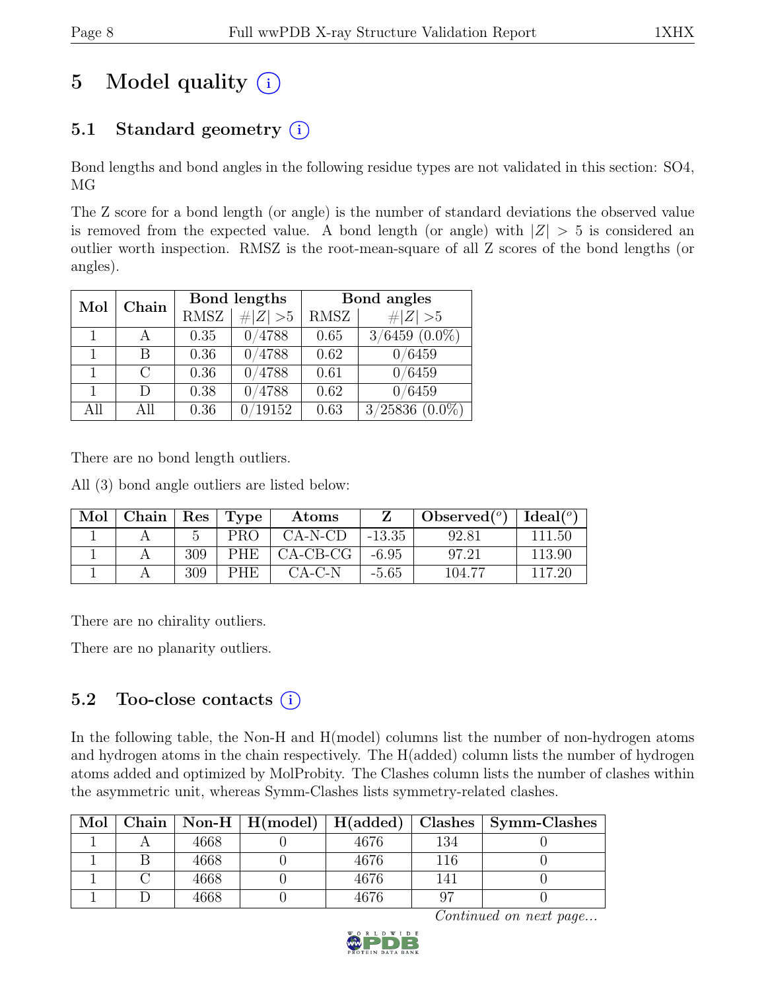# 5 Model quality  $(i)$

# 5.1 Standard geometry  $(i)$

Bond lengths and bond angles in the following residue types are not validated in this section: SO4, MG

The Z score for a bond length (or angle) is the number of standard deviations the observed value is removed from the expected value. A bond length (or angle) with  $|Z| > 5$  is considered an outlier worth inspection. RMSZ is the root-mean-square of all Z scores of the bond lengths (or angles).

| Mol | Chain  |             | Bond lengths | Bond angles |                     |  |
|-----|--------|-------------|--------------|-------------|---------------------|--|
|     |        | <b>RMSZ</b> | # $ Z  > 5$  | RMSZ        | $\# Z >5$           |  |
|     |        | 0.35        | 0/4788       | 0.65        | $3/6459$ $(0.0\%)$  |  |
|     | В      | 0.36        | 0/4788       | 0.62        | 0/6459              |  |
|     | $\cap$ | 0.36        | 0/4788       | 0.61        | 0/6459              |  |
|     | $\Box$ | 0.38        | 4788         | 0.62        | 0/6459              |  |
| All | All    | 0.36        | 0/19152      | 0.63        | $3/25836$ $(0.0\%)$ |  |

There are no bond length outliers.

All (3) bond angle outliers are listed below:

| Mol | Chain | $\mid$ Res | Type       | Atoms      |          | $\left  \text{Observed}(\text{^{\degree}}) \right  \text{Ideal}(\text{^{\degree}})$ |        |
|-----|-------|------------|------------|------------|----------|-------------------------------------------------------------------------------------|--------|
|     |       |            | <b>PRO</b> | $CA-N-CD$  | $-13.35$ | 92.81                                                                               | 111.50 |
|     |       | 309        | <b>PHE</b> | $CA-CB-CG$ | $-6.95$  | 97.21                                                                               | 113.90 |
|     |       | 309        | <b>PHE</b> | $CA-C-N$   | $-5.65$  | 104.77                                                                              | 117.20 |

There are no chirality outliers.

There are no planarity outliers.

### 5.2 Too-close contacts  $(i)$

In the following table, the Non-H and H(model) columns list the number of non-hydrogen atoms and hydrogen atoms in the chain respectively. The H(added) column lists the number of hydrogen atoms added and optimized by MolProbity. The Clashes column lists the number of clashes within the asymmetric unit, whereas Symm-Clashes lists symmetry-related clashes.

| Mol |      | Chain   Non-H   $H(model)$   $H(added)$   Clashes |      |     | Symm-Clashes |
|-----|------|---------------------------------------------------|------|-----|--------------|
|     | 4668 |                                                   | 4676 | 134 |              |
|     | 4668 |                                                   | 4676 | 116 |              |
|     | 4668 |                                                   | 4676 |     |              |
|     | 4668 |                                                   | 4676 | 97  |              |

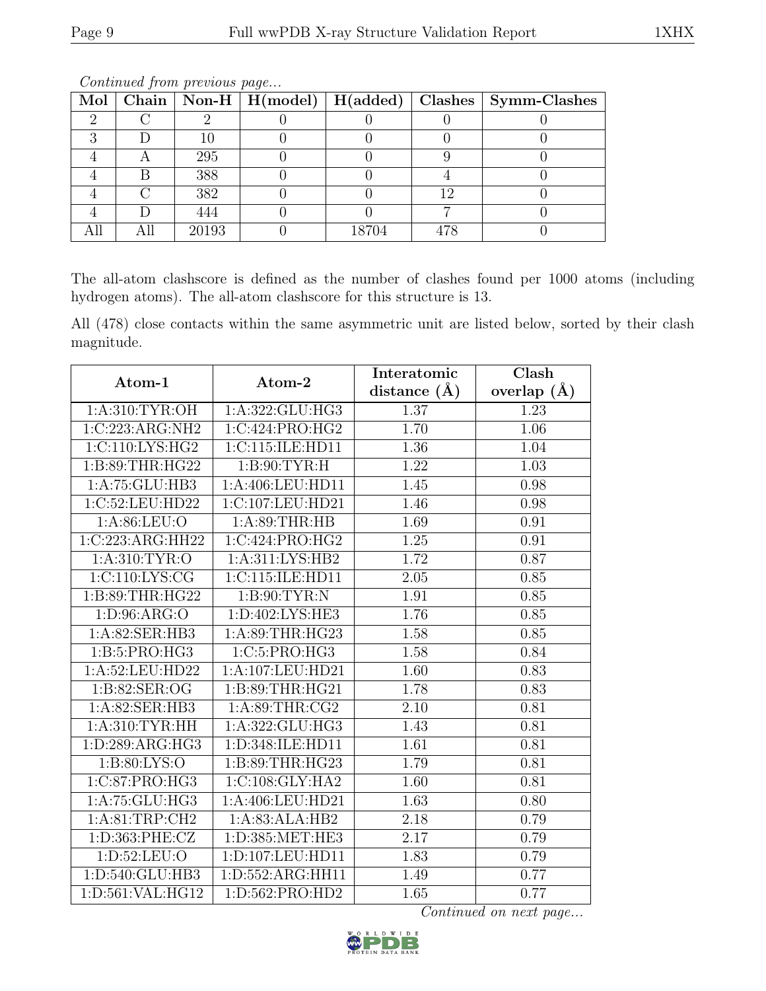| Mol |       |       |    | Chain   Non-H   H(model)   H(added)   Clashes   Symm-Clashes |
|-----|-------|-------|----|--------------------------------------------------------------|
|     |       |       |    |                                                              |
|     | 10    |       |    |                                                              |
|     | 295   |       |    |                                                              |
|     | 388   |       |    |                                                              |
|     | 382   |       | 19 |                                                              |
|     | 444   |       |    |                                                              |
|     | 20193 | 18704 |    |                                                              |

The all-atom clashscore is defined as the number of clashes found per 1000 atoms (including hydrogen atoms). The all-atom clashscore for this structure is 13.

All (478) close contacts within the same asymmetric unit are listed below, sorted by their clash magnitude.

| Atom-1             | Atom-2             | Interatomic       | Clash         |
|--------------------|--------------------|-------------------|---------------|
|                    |                    | distance $(\AA)$  | overlap $(A)$ |
| 1: A:310: TYR:OH   | 1:A:322:GLU:HG3    | 1.37              | 1.23          |
| 1:C:223:ARG:NH2    | 1:C:424:PRO:HG2    | 1.70              | 1.06          |
| 1:C:110:LYS:HG2    | 1:C:115:ILE:HD11   | 1.36              | 1.04          |
| 1: B:89:THR:HG22   | 1: B:90: TYR:H     | 1.22              | 1.03          |
| 1:A:75:GLU:HB3     | 1:A:406:LEU:HD11   | 1.45              | 0.98          |
| 1:C:52:LEU:HD22    | 1:C:107:LEU:HD21   | 1.46              | 0.98          |
| 1: A:86: LEU:O     | 1: A:89:THR:HB     | 1.69              | 0.91          |
| 1:C:223:ARG:HH22   | 1:C:424:PRO:HG2    | 1.25              | 0.91          |
| 1: A:310: TYR:O    | 1:A:311:LYS:HB2    | 1.72              | 0.87          |
| 1:C:110:LYS:CG     | 1:C:115:ILE:HD11   | 2.05              | 0.85          |
| 1: B:89:THR:HG22   | 1: B:90: TYR:N     | 1.91              | 0.85          |
| 1: D:96: ARG:O     | 1: D:402: LYS: HE3 | 1.76              | 0.85          |
| 1:A:82:SER:HB3     | 1:A:89:THR:HG23    | 1.58              | 0.85          |
| 1:B:5:PRO:HG3      | 1:C:5:PRO:HG3      | 1.58              | 0.84          |
| 1:A:52:LEU:HD22    | 1:A:107:LEU:HD21   | 1.60              | 0.83          |
| 1:B:82:SER:OG      | 1:B:89:THR:HG21    | 1.78              | 0.83          |
| 1:A:82:SER:HB3     | 1: A:89:THR:CG2    | $\overline{2.10}$ | 0.81          |
| 1: A:310: TYR: HH  | 1:A:322:GLU:HG3    | 1.43              | 0.81          |
| 1: D:289: ARG: HG3 | 1:D:348:ILE:HD11   | 1.61              | 0.81          |
| 1: B:80: LYS:O     | 1:B:89:THR:HG23    | 1.79              | 0.81          |
| 1:C:87:PRO:HG3     | 1:C:108:GLY:HA2    | 1.60              | 0.81          |
| 1:A:75:GLU:HG3     | 1:A:406:LEU:HD21   | 1.63              | 0.80          |
| 1: A:81:TRP:CH2    | 1:A:83:ALA:HB2     | 2.18              | 0.79          |
| 1:D:363:PHE:CZ     | 1:D:385:MET:HE3    | 2.17              | 0.79          |
| 1: D: 52: LEU: O   | 1:D:107:LEU:HD11   | 1.83              | 0.79          |
| 1:D:540:GLU:HB3    | 1:D:552:ARG:HH11   | 1.49              | 0.77          |
| 1:D:561:VAL:HG12   | 1:D:562:PRO:HD2    | 1.65              | 0.77          |

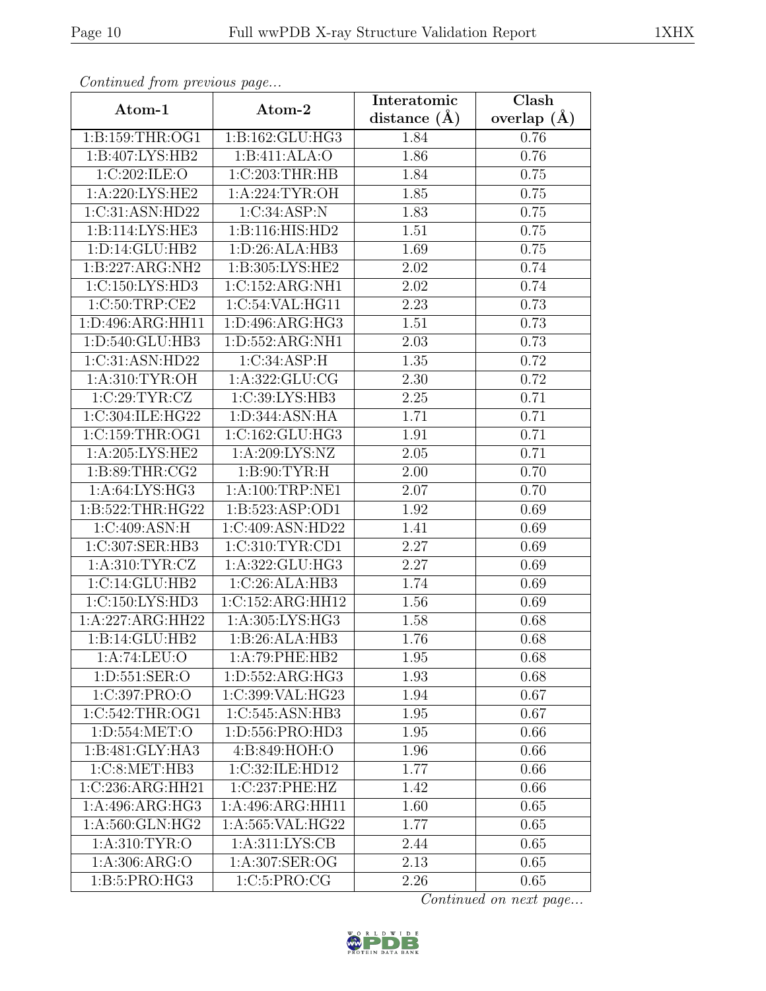| Continued from previous page  |                             | Interatomic    | Clash         |
|-------------------------------|-----------------------------|----------------|---------------|
| Atom-1                        | Atom-2                      | distance $(A)$ | overlap $(A)$ |
| 1: B: 159: THR: OG1           | 1:B:162:GLU:HG3             | 1.84           | 0.76          |
| 1:B:407:LYS:HB2               | 1:B:411:ALA:O               | 1.86           | 0.76          |
| 1:C:202:ILE:O                 | 1:C:203:THR:HB              | 1.84           | 0.75          |
| 1:A:220:LYS:HE2               | 1:A:224:TYR:OH              | 1.85           | 0.75          |
| 1:C:31:ASN:HD22               | 1:C:34:ASP:N                | 1.83           | 0.75          |
| 1: B: 114: LYS: HE3           | 1:B:116:HIS:HD2             | 1.51           | 0.75          |
| 1: D: 14: GLU: HB2            | 1:D:26:ALA:HB3              | 1.69           | 0.75          |
| 1:B:227:ARG:NH2               | 1:B:305:LYS:HE2             | 2.02           | 0.74          |
| 1:C:150:LYS:HD3               | 1:C:152:ARG:NH1             | 2.02           | 0.74          |
| 1:C:50:TRP:CE2                | 1:C:54:VAL:HG11             | 2.23           | 0.73          |
| 1:D:496:ARG:HH11              | 1:D:496:ARG:HG3             | 1.51           | 0.73          |
| 1:D:540:GLU:HB3               | 1: D: 552: ARG: NH1         | 2.03           | 0.73          |
| 1:C:31:ASN:HD22               | 1:C:34:ASP:H                | 1.35           | 0.72          |
| 1:A:310:TYR:OH                | 1:A:322:GLU:CG              | 2.30           | 0.72          |
| 1:C:29:TYR:CZ                 | 1:C:39:LYS:HB3              | 2.25           | 0.71          |
| 1:C:304:ILE:HG22              | 1:D:344:ASN:HA              | 1.71           | 0.71          |
| 1:C:159:THR:OG1               | 1:C:162:GLU:HG3             | 1.91           | 0.71          |
| 1: A:205:LYS:HE2              | 1:A:209:LYS:NZ              | 2.05           | 0.71          |
| 1:B:89:THR:CG2                | 1: B:90: TYR:H              | 2.00           | 0.70          |
| 1: A:64: LYS: HG3             | 1: A:100:TRP:NE1            | 2.07           | 0.70          |
| 1:B:522:THR:HG22              | 1:B:523:ASP:OD1             | 1.92           | 0.69          |
| 1:C:409:ASN:H                 | 1:C:409:ASN:HD22            | 1.41           | 0.69          |
| 1:C:307:SER:HB3               | 1:C:310:TYR:CD1             | 2.27           | 0.69          |
| 1: A:310: TYR: CZ             | 1:A:322:GLU:HG3             | 2.27           | 0.69          |
| 1:C:14:GLU:HB2                | 1:C:26:ALA:HB3              | 1.74           | 0.69          |
| 1:C:150:LYS:HD3               | 1:C:152:ARG:HH12            | 1.56           | 0.69          |
| $1:\overline{A}:227:ARG:HH22$ | 1:A:305:LYS:HG3             | 1.58           | 0.68          |
| 1:B:14:GLU:HB2                | $1:B:26:ALA:\overline{HB3}$ | 1.76           | 0.68          |
| 1:A:74:LEU:O                  | 1:A:79:PHE:HB2              | 1.95           | 0.68          |
| 1: D: 551: SER: O             | 1:D:552:ARG:HG3             | 1.93           | 0.68          |
| 1:C:397:PRO:O                 | 1:C:399:VAL:HG23            | 1.94           | 0.67          |
| 1:C:542:THR:OG1               | 1:C:545:ASN:HB3             | 1.95           | 0.67          |
| 1: D: 554: MET:O              | 1:D:556:PRO:HD3             | 1.95           | 0.66          |
| 1:B:481:GLY:HA3               | 4:B:849:HOH:O               | 1.96           | 0.66          |
| 1:C:8:NET:HB3                 | 1:C:32:ILE:HD12             | 1.77           | 0.66          |
| 1:C:236:ARG:HH21              | 1:C:237:PHE:HZ              | 1.42           | 0.66          |
| 1: A:496: ARG: HG3            | 1:A:496:ARG:HH11            | 1.60           | 0.65          |
| 1:A:560:GLN:HG2               | 1:A:565:VAL:HG22            | 1.77           | 0.65          |
| 1: A:310: TYR:O               | 1: A:311: LYS: CB           | 2.44           | 0.65          |
| 1:A:306:ARG:O                 | 1:A:307:SER:OG              | 2.13           | 0.65          |
| 1:B:5:PRO:HG3                 | 1:C:5:PRO:CG                | 2.26           | 0.65          |

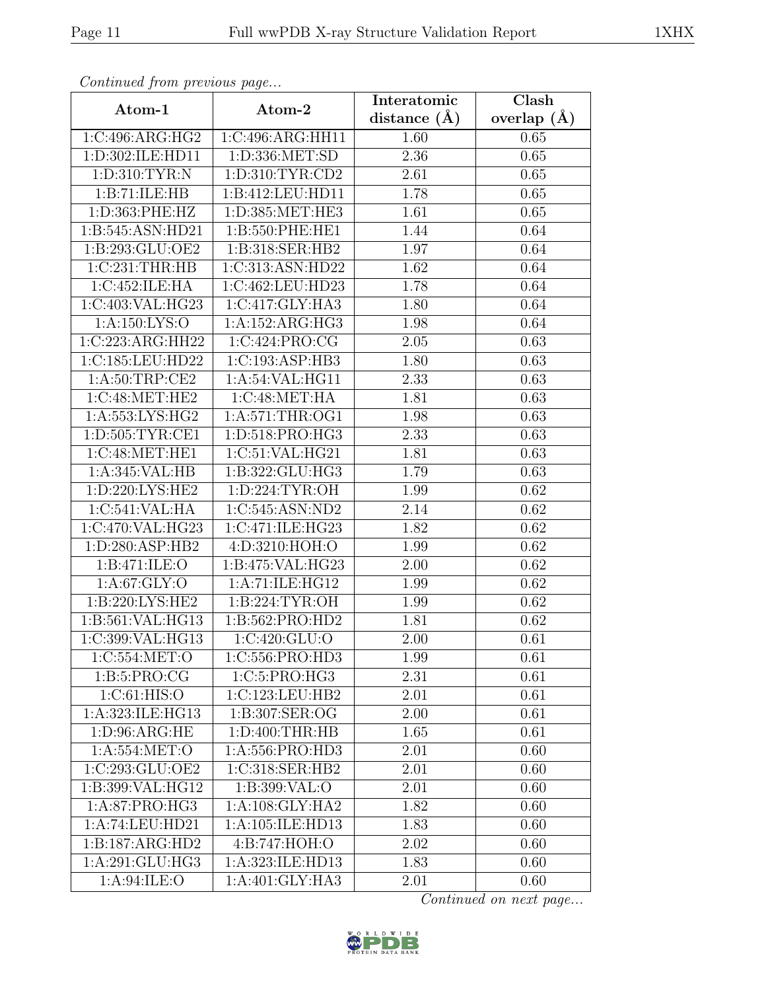| Continued from previous page |                     | Interatomic      | $\overline{\text{Clash}}$ |
|------------------------------|---------------------|------------------|---------------------------|
| Atom-1                       | Atom-2              | distance $(\AA)$ | overlap $(A)$             |
| 1:C:496:ARG:HG2              | 1:C:496:ARG:HH11    | 1.60             | 0.65                      |
| 1:D:302:ILE:HD11             | 1: D: 336: MET: SD  | 2.36             | 0.65                      |
| 1: D: 310: TYR: N            | 1: D: 310: TYR: CD2 | 2.61             | 0.65                      |
| 1:B:71:ILE:HB                | 1:B:412:LEU:HD11    | 1.78             | 0.65                      |
| 1:D:363:PHE:HZ               | 1:D:385:MET:HE3     | 1.61             | 0.65                      |
| 1:B:545:ASN:HD21             | 1:B:550:PHE:HE1     | 1.44             | 0.64                      |
| 1:B:293:GLU:OE2              | 1:B:318:SER:HB2     | 1.97             | 0.64                      |
| 1:C:231:THR:HB               | 1:C:313:ASN:HD22    | 1.62             | 0.64                      |
| 1:C:452:ILE:HA               | 1:C:462:LEU:HD23    | 1.78             | 0.64                      |
| 1:C:403:VAL:HG23             | 1:C:417:GLY:HA3     | 1.80             | 0.64                      |
| 1: A: 150: LYS: O            | 1:A:152:ARG:HG3     | 1.98             | 0.64                      |
| 1:C:223:ARG:HH22             | 1:C:424:PRO:CG      | 2.05             | 0.63                      |
| 1:C:185:LEU:HD22             | 1:C:193:ASP:HB3     | 1.80             | 0.63                      |
| 1:A:50:TRP:CE2               | 1:A:54:VAL:HG11     | 2.33             | 0.63                      |
| 1:C:48:MET:HE2               | 1:C:48:MET:HA       | 1.81             | 0.63                      |
| 1: A:553:LYS:HG2             | 1: A:571:THR:OG1    | 1.98             | 0.63                      |
| 1:D:505:TYR:CE1              | 1:D:518:PRO:HG3     | 2.33             | 0.63                      |
| 1:C:48:MET:HE1               | 1:C:51:VAL:HG21     | 1.81             | 0.63                      |
| 1:A:345:VAL:HB               | 1:B:322:GLU:HG3     | 1.79             | 0.63                      |
| 1:D:220:LYS:HE2              | 1: D: 224: TYR: OH  | 1.99             | 0.62                      |
| 1:C:541:VAL:HA               | 1:C:545:ASN:ND2     | 2.14             | 0.62                      |
| 1:C:470:VAL:HG23             | 1:C:471:ILE:HG23    | 1.82             | 0.62                      |
| 1:D:280:ASP:HB2              | 4:D:3210:HOH:O      | 1.99             | 0.62                      |
| 1:B:471:ILE:O                | 1:B:475:VAL:HG23    | 2.00             | 0.62                      |
| 1: A:67: GLY:O               | 1:A:71:ILE:HG12     | 1.99             | 0.62                      |
| 1: B:220: LYS: HE2           | 1:B:224:TYR:OH      | 1.99             | 0.62                      |
| 1:B:561:VAL:HG13             | 1:B:562:PRO:HD2     | 1.81             | 0.62                      |
| 1:C:399:VAL:HG13             | 1:C:420:GLU:O       | 2.00             | 0.61                      |
| 1:C:554:MET:O                | 1:C:556:PRO:HD3     | 1.99             | 0.61                      |
| 1: B:5: PRO:CG               | 1: C: 5: PRO:HG3    | 2.31             | 0.61                      |
| 1:C:61:HIS:O                 | 1:C:123:LEU:HB2     | 2.01             | 0.61                      |
| 1:A:323:ILE:HG13             | 1:B:307:SER:OG      | 2.00             | 0.61                      |
| 1: D:96: ARG:HE              | 1:D:400:THR:HB      | 1.65             | 0.61                      |
| 1:A:554:MET:O                | 1:A:556:PRO:HD3     | 2.01             | 0.60                      |
| 1:C:293:GLU:OE2              | 1:C:318:SER:HB2     | 2.01             | 0.60                      |
| 1:B:399:VAL:HG12             | 1:B:399:VAL:O       | 2.01             | 0.60                      |
| 1:A:87:PRO:HG3               | 1: A:108: GLY:HA2   | 1.82             | 0.60                      |
| 1:A:74:LEU:HD21              | 1:A:105:ILE:HD13    | 1.83             | 0.60                      |
| 1:B:187:ARG:HD2              | 4:B:747:HOH:O       | 2.02             | 0.60                      |
| 1:A:291:GLU:HG3              | 1:A:323:ILE:HD13    | 1.83             | 0.60                      |
| 1: A:94: ILE: O              | 1:A:401:GLY:HA3     | 2.01             | 0.60                      |

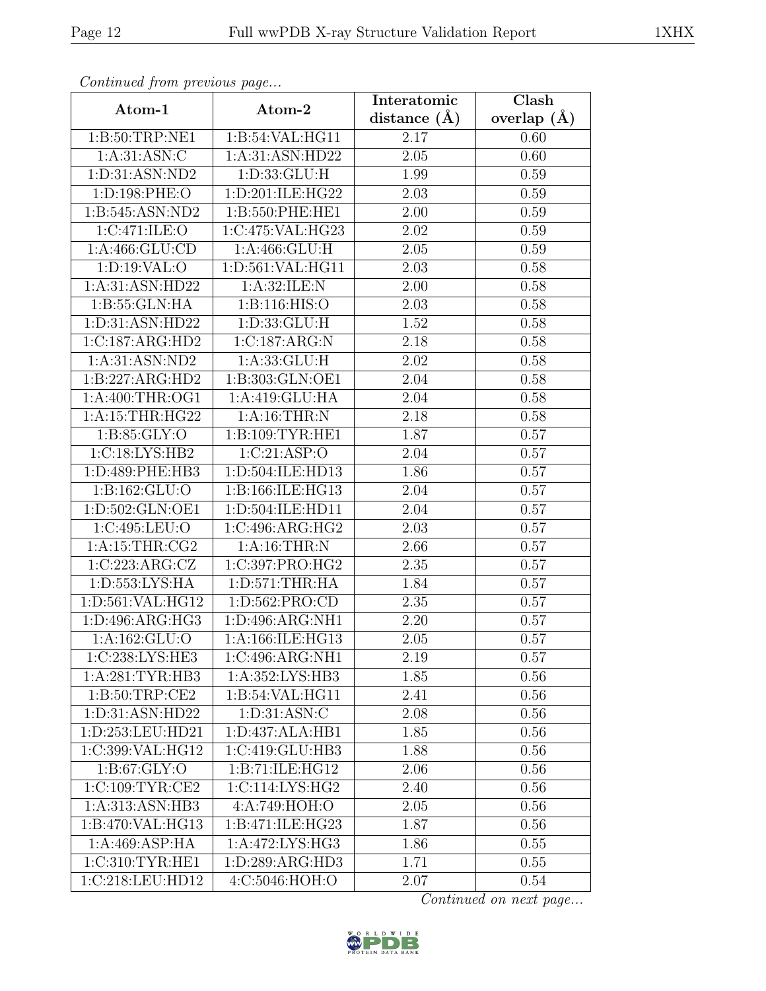| Continuea from previous page |                     | Interatomic       | Clash         |
|------------------------------|---------------------|-------------------|---------------|
| Atom-1                       | Atom-2              | distance $(\AA)$  | overlap $(A)$ |
| 1:B:50:TRP:NE1               | 1:B:54:VAL:HG11     | 2.17              | 0.60          |
| 1: A:31: ASN: C              | 1:A:31:ASN:HD22     | $\overline{2.05}$ | 0.60          |
| 1:D:31:ASN:ND2               | 1: D: 33: GLU: H    | 1.99              | 0.59          |
| 1:D:198:PHE:O                | 1:D:201:ILE:HG22    | 2.03              | 0.59          |
| 1:B:545:ASN:ND2              | 1:B:550:PHE:HE1     | 2.00              | 0.59          |
| 1:C:471:ILE:O                | 1:C:475:VAL:HG23    | 2.02              | 0.59          |
| 1: A:466: GLU:CD             | 1:A:466:GLU:H       | $\overline{2.05}$ | 0.59          |
| 1: D: 19: VAL: O             | 1:D:561:VAL:HG11    | 2.03              | 0.58          |
| 1: A:31: ASN:HD22            | 1: A:32: ILE:N      | 2.00              | 0.58          |
| 1: B: 55: GLN: HA            | 1: B: 116: HIS: O   | 2.03              | 0.58          |
| 1:D:31:ASN:HD22              | 1: D: 33: GLU: H    | 1.52              | 0.58          |
| 1:C:187:ARG:HD2              | 1:C:187:ARG:N       | 2.18              | 0.58          |
| 1:A:31:ASN:ND2               | 1: A: 33: GLU: H    | 2.02              | 0.58          |
| 1:B:227:ARG:HD2              | 1:B:303:GLN:OE1     | 2.04              | 0.58          |
| $1:$ A:400:THR:OG1           | 1:A:419:GLU:HA      | 2.04              | 0.58          |
| 1: A:15:THR:HG22             | 1: A:16:THR:N       | 2.18              | 0.58          |
| 1: B:85: GLY:O               | 1:B:109:TYR:HE1     | 1.87              | 0.57          |
| 1:C:18:LYS:HB2               | 1:C:21:ASP:O        | 2.04              | 0.57          |
| 1:D:489:PHE:HB3              | 1:D:504:ILE:HD13    | 1.86              | 0.57          |
| 1: B: 162: GLU:O             | 1:B:166:ILE:HG13    | 2.04              | 0.57          |
| 1:D:502:GLN:OE1              | 1:D:504:ILE:HD11    | 2.04              | 0.57          |
| 1:C:495:LEU:O                | 1:C:496:ARG:HG2     | 2.03              | 0.57          |
| 1: A:15:THR:CG2              | 1: A:16:THR:N       | 2.66              | 0.57          |
| 1:C:223:ARG:CZ               | 1:C:397:PRO:HG2     | 2.35              | 0.57          |
| 1:D:553:LYS:HA               | 1: D:571:THR:HA     | 1.84              | 0.57          |
| 1:D:561:VAL:HG12             | 1:D:562:PRO:CD      | $\overline{2}.35$ | 0.57          |
| 1: D: 496: ARG: HG3          | 1:D:496:ARG:NH1     | 2.20              | 0.57          |
| 1:A:162:GLU:O                | 1:A:166:ILE:HG13    | 2.05              | 0.57          |
| 1:C:238:LYS:HE3              | 1:C:496:ARG:NH1     | 2.19              | 0.57          |
| 1:A:281:TYR:HB3              | 1:A:352:LYS:HB3     | 1.85              | 0.56          |
| 1: B:50:TRP:CE2              | 1: B:54: VAL: HG11  | 2.41              | 0.56          |
| 1: D: 31: ASN: HD22          | 1: D:31: ASN: C     | 2.08              | 0.56          |
| 1:D:253:LEU:HD21             | 1: D: 437: ALA: HB1 | 1.85              | 0.56          |
| 1:C:399:VAL:HG12             | 1:C:419:GLU:HB3     | 1.88              | 0.56          |
| 1: B:67: GLY:O               | 1:B:71:ILE:HG12     | 2.06              | 0.56          |
| 1:C:109:TYR:CE2              | 1:C:114:LYS:HG2     | 2.40              | 0.56          |
| 1:A:313:ASN:HB3              | 4:A:749:HOH:O       | 2.05              | 0.56          |
| 1:B:470:VAL:HG13             | 1:B:471:ILE:HG23    | 1.87              | 0.56          |
| 1:A:469:ASP:HA               | 1: A:472: LYS: HG3  | 1.86              | 0.55          |
| 1:C:310:TYR:HE1              | 1:D:289:ARG:HD3     | 1.71              | 0.55          |
| 1:C:218:LEU:HD12             | 4: C:5046: HOH:O    | 2.07              | 0.54          |

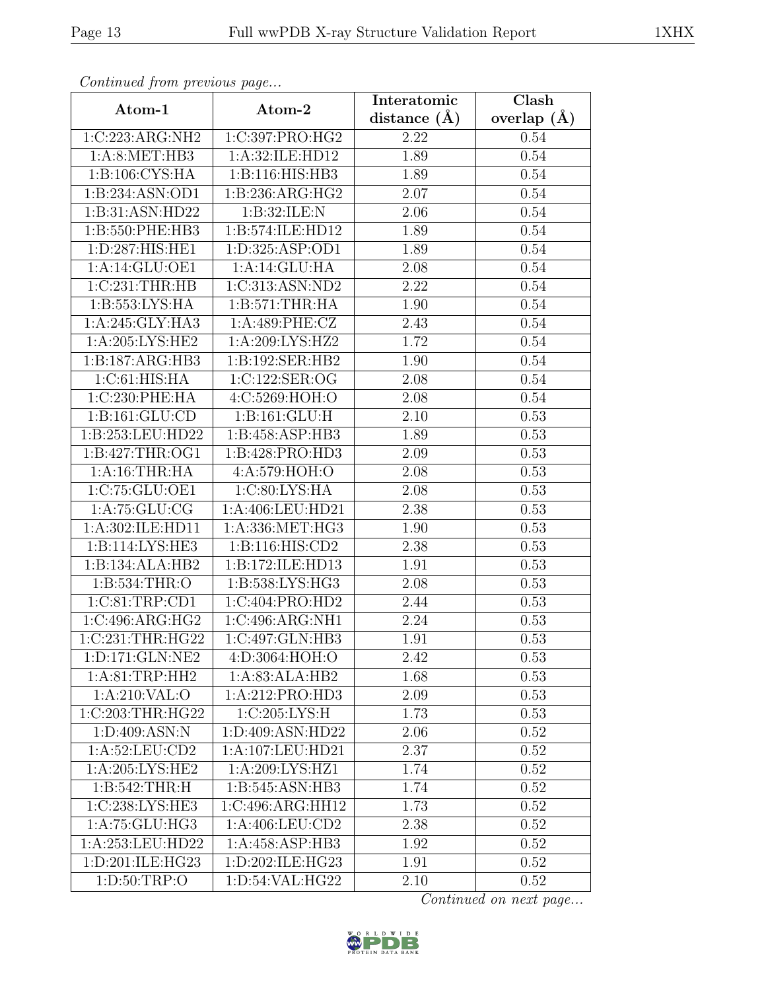| Continued from previous page |                     | Interatomic      | Clash         |
|------------------------------|---------------------|------------------|---------------|
| Atom-1                       | Atom-2              | distance $(\AA)$ | overlap $(A)$ |
| 1:C:223:ARG:NH2              | 1:C:397:PRO:HG2     | 2.22             | 0.54          |
| 1: A:8: MET:HB3              | 1:A:32:ILE:HD12     | 1.89             | 0.54          |
| 1: B:106: CYS: HA            | 1:B:116:HIS:HB3     | 1.89             | 0.54          |
| 1:B:234:ASN:OD1              | 1:B:236:ARG:HG2     | 2.07             | 0.54          |
| 1:B:31:ASN:HD22              | 1:B:32:ILE:N        | 2.06             | 0.54          |
| 1:B:550:PHE:HB3              | 1:B:574:ILE:HD12    | 1.89             | 0.54          |
| 1:D:287:HIS:HE1              | 1: D: 325: ASP: OD1 | 1.89             | 0.54          |
| 1:A:14:GLU:OE1               | 1:A:14:GLU:HA       | 2.08             | 0.54          |
| 1:C:231:THR:HB               | 1:C:313:ASN:ND2     | 2.22             | 0.54          |
| 1: B: 553: LYS: HA           | 1: B:571:THR:HA     | 1.90             | 0.54          |
| 1:A:245:GLY:HA3              | 1:A:489:PHE:CZ      | 2.43             | 0.54          |
| 1: A:205:LYS:HE2             | 1:A:209:LYS:HZ2     | 1.72             | 0.54          |
| 1:B:187:ARG:HB3              | 1:B:192:SER:HB2     | 1.90             | 0.54          |
| 1:C:61:HIS:HA                | 1:C:122:SER:OG      | 2.08             | 0.54          |
| 1:C:230:PHE:HA               | 4:C:5269:HOH:O      | 2.08             | 0.54          |
| 1: B: 161: GLU: CD           | 1: B: 161: GLU: H   | 2.10             | 0.53          |
| 1:B:253:LEU:HD22             | 1:B:458:ASP:HB3     | 1.89             | 0.53          |
| 1: B: 427: THR: OG1          | 1:B:428:PRO:HD3     | 2.09             | 0.53          |
| 1:A:16:THR:HA                | 4:A:579:HOH:O       | 2.08             | 0.53          |
| 1:C:75:GLU:OE1               | 1:C:80:LYS:HA       | 2.08             | 0.53          |
| $1:A:75:\overline{GLU:CG}$   | 1:A:406:LEU:HD21    | 2.38             | 0.53          |
| 1:A:302:ILE:HD11             | 1:A:336:MET:HG3     | 1.90             | 0.53          |
| 1:B:114:LYS:HE3              | 1:B:116:HIS:CD2     | 2.38             | 0.53          |
| 1:B:134:ALA:HB2              | 1:B:172:ILE:HD13    | 1.91             | 0.53          |
| 1:B:534:THR:O                | 1:B:538:LYS:HG3     | 2.08             | 0.53          |
| 1:C:81:TRP:CD1               | 1:C:404:PRO:HD2     | 2.44             | 0.53          |
| 1:C:496:ARG:HG2              | 1:C:496:ARG:NH1     | 2.24             | 0.53          |
| 1:C:231:THR:HG22             | 1:C:497:GLN:HB3     | 1.91             | 0.53          |
| 1:D:171:GLN:NE2              | 4:D:3064:HOH:O      | 2.42             | 0.53          |
| 1: A:81:TRP:HH2              | 1:A:83:ALA:HB2      | 1.68             | 0.53          |
| 1:A:210:VAL:O                | 1:A:212:PRO:HD3     | 2.09             | 0.53          |
| 1:C:203:THR:HG22             | 1:C:205:LYS:H       | 1.73             | 0.53          |
| 1:D:409:ASN:N                | 1:D:409:ASN:HD22    | 2.06             | 0.52          |
| 1:A:52:LEU:CD2               | 1:A:107:LEU:HD21    | 2.37             | 0.52          |
| 1: A:205:LYS:HE2             | 1:A:209:LYS:HZ1     | 1.74             | 0.52          |
| 1: B:542:THR:H               | 1:B:545:ASN:HB3     | 1.74             | 0.52          |
| 1:C:238:LYS:HE3              | 1:C:496:ARG:HH12    | 1.73             | 0.52          |
| 1:A:75:GLU:HG3               | 1:A:406:LEU:CD2     | 2.38             | 0.52          |
| 1:A:253:LEU:HD22             | 1:A:458:ASP:HB3     | 1.92             | 0.52          |
| 1:D:201:ILE:HG23             | 1:D:202:ILE:HG23    | 1.91             | 0.52          |
| 1: D:50:TRP:O                | 1:D:54:VAL:HG22     | 2.10             | 0.52          |

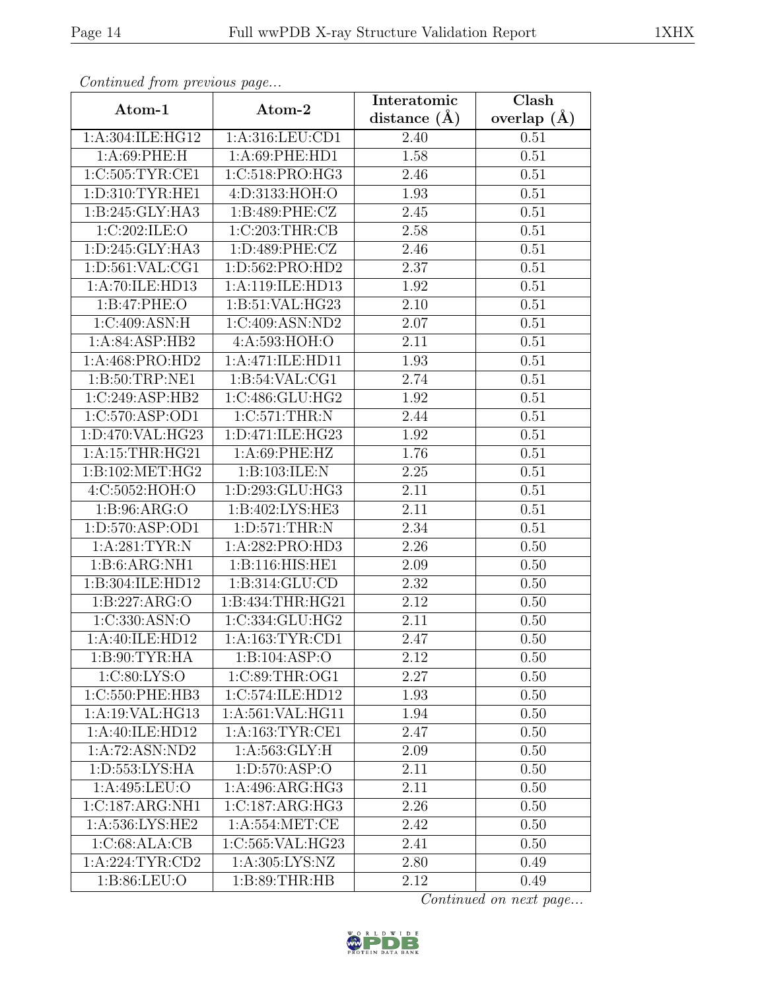| Continued from previous page        |                       | Interatomic       | $\overline{\text{Clash}}$ |
|-------------------------------------|-----------------------|-------------------|---------------------------|
| Atom-1                              | Atom-2                | distance $(A)$    | overlap $(A)$             |
| 1:A:304:ILE:HG12                    | 1:A:316:LEU:CD1       | 2.40              | 0.51                      |
| 1: A:69: PHE: H                     | $1: A:69:$ PHE:HD $1$ | 1.58              | 0.51                      |
| 1:C:505:TYR:CE1                     | 1:C:518:PRO:HG3       | 2.46              | 0.51                      |
| 1: D: 310: TYR: HE1                 | 4:D:3133:HOH:O        | 1.93              | 0.51                      |
| 1:B:245:GLY:HA3                     | 1: B:489: PHE: CZ     | 2.45              | 0.51                      |
| 1:C:202:ILE:O                       | 1:C:203:THR:CB        | 2.58              | 0.51                      |
| 1: D: 245: GLY: HA3                 | 1: D:489: PHE: CZ     | 2.46              | 0.51                      |
| 1: D: 561: VAL: CG1                 | 1:D:562:PRO:HD2       | 2.37              | 0.51                      |
| 1:A:70:ILE:HD13                     | 1:A:119:ILE:HD13      | 1.92              | 0.51                      |
| 1:B:47:PHE:O                        | 1:B:51:VAL:HG23       | 2.10              | 0.51                      |
| 1:C:409:ASN:H                       | 1:C:409:ASN:ND2       | 2.07              | 0.51                      |
| 1:A:84:ASP:HB2                      | 4:A:593:HOH:O         | 2.11              | 0.51                      |
| 1:A:468:PRO:HD2                     | 1:A:471:ILE:HD11      | 1.93              | 0.51                      |
| $1: B:50: T\overline{RP:NE1}$       | 1: B:54: VAL:CG1      | 2.74              | 0.51                      |
| 1:C:249:ASP:HB2                     | 1:C:486:GLU:HG2       | 1.92              | 0.51                      |
| 1:C:570:ASP:OD1                     | 1:C:571:THR:N         | 2.44              | 0.51                      |
| 1:D:470:VAL:HG23                    | 1: D:471: ILE: HG23   | 1.92              | 0.51                      |
| 1: A:15:THR:HG21                    | 1:A:69:PHE:HZ         | 1.76              | 0.51                      |
| 1:B:102:MET:HG2                     | 1:B:103:ILE:N         | 2.25              | 0.51                      |
| 4:C:5052:HOH:O                      | 1:D:293:GLU:HG3       | 2.11              | 0.51                      |
| 1: B:96: ARG:O                      | 1:B:402:LYS:HE3       | 2.11              | 0.51                      |
| 1:D:570:ASP:OD1                     | 1: D:571:THR:N        | 2.34              | 0.51                      |
| 1: A:281:TYR:N                      | 1:A:282:PRO:HD3       | 2.26              | 0.50                      |
| $1:B:6:ARG:\overline{\text{NH1}}$   | 1:B:116:HIS:HE1       | 2.09              | 0.50                      |
| 1:B:304:ILE:HD12                    | 1: B: 314: GLU: CD    | 2.32              | 0.50                      |
| 1:B:227:ARG:O                       | 1:B:434:THR:HG21      | $\overline{2}.12$ | 0.50                      |
| 1:C:330:ASN:O                       | 1:C:334:GLU:HG2       | 2.11              | 0.50                      |
| 1:A:40:ILE:HD12                     | 1: A: 163: TYR: CD1   | 2.47              | 0.50                      |
| 1: B:90: TYR: HA                    | 1:B:104:ASP:O         | 2.12              | 0.50                      |
| 1:C:80:LYS:O                        | 1:C:89:THR:OG1        | 2.27              | 0.50                      |
| 1:C:550:PHE:HB3                     | 1:C:574:ILE:HD12      | 1.93              | 0.50                      |
| 1:A:19:VAL:HG13                     | 1:A:561:VAL:HG11      | 1.94              | 0.50                      |
| 1:A:40:ILE:HD12                     | 1:A:163:TYR:CE1       | 2.47              | 0.50                      |
| 1:A:72:ASN:ND2                      | 1: A: 563: GLY: H     | 2.09              | 0.50                      |
| 1: D: 553: LYS: HA                  | 1: D: 570: ASP: O     | 2.11              | 0.50                      |
| 1:A:495:LEU:O                       | 1:A:496:ARG:HG3       | 2.11              | 0.50                      |
| $1:C:187:ARG:\overline{\text{NH1}}$ | 1:C:187:ARG:HG3       | 2.26              | 0.50                      |
| $1: A:536: LYS: \overline{HE2}$     | 1:A:554:MET:CE        | 2.42              | 0.50                      |
| 1:C:68:ALA:CB                       | 1:C:565:VAL:HG23      | 2.41              | 0.50                      |
| 1: A:224:TYR:CD2                    | 1: A:305: LYS: NZ     | 2.80              | 0.49                      |
| 1: B:86: LEU:O                      | 1: B:89: THR:HB       | 2.12              | 0.49                      |

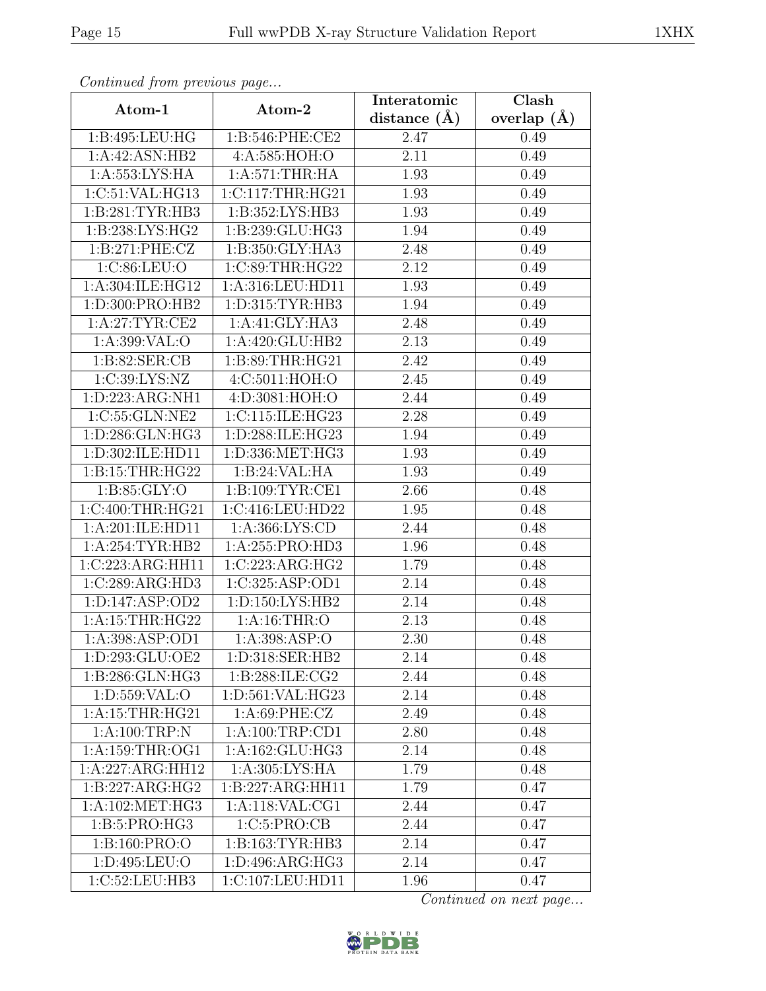| Continued from previous page       |                     | Interatomic       | Clash         |
|------------------------------------|---------------------|-------------------|---------------|
| Atom-1                             | Atom-2              | distance $(\AA)$  | overlap $(A)$ |
| 1:B:495:LEU:HG                     | 1:B:546:PHE:CE2     | 2.47              | 0.49          |
| 1:A:42:ASN:HB2                     | 4:A:585:HOH:O       | $\overline{2.1}1$ | 0.49          |
| 1: A: 553: LYS: HA                 | 1: A:571:THR:HA     | 1.93              | 0.49          |
| 1:C:51:VAL:HG13                    | 1:C:117:THR:HG21    | 1.93              | 0.49          |
| 1: B:281:TYR:HB3                   | 1:B:352:LYS:HB3     | 1.93              | 0.49          |
| 1:B:238:LYS:HG2                    | 1:B:239:GLU:HG3     | 1.94              | 0.49          |
| 1: B:271: PHE: CZ                  | 1:B:350:GLY:HA3     | 2.48              | 0.49          |
| 1:C:86:LEU:O                       | 1:C:89:THR:HG22     | 2.12              | 0.49          |
| 1:A:304:ILE:HG12                   | 1:A:316:LEU:HD11    | 1.93              | 0.49          |
| 1:D:300:PRO:HB2                    | 1: D: 315: TYR: HB3 | 1.94              | 0.49          |
| 1: A:27:TYR:CE2                    | 1:A:41:GLY:HA3      | 2.48              | 0.49          |
| 1:A:399:VAL:O                      | 1:A:420:GLU:HB2     | 2.13              | 0.49          |
| 1:B:82:SER:CB                      | 1:B:89:THR:HG21     | 2.42              | 0.49          |
| 1:C:39:LYS:NZ                      | 4:C:5011:HOH:O      | 2.45              | 0.49          |
| 1:D:223:ARG:NH1                    | 4:D:3081:HOH:O      | 2.44              | 0.49          |
| 1:C:55:GLN:NE2                     | 1:C:115:ILE:HG23    | 2.28              | 0.49          |
| 1:D:286:GLN:HG3                    | 1:D:288:ILE:HG23    | 1.94              | 0.49          |
| 1:D:302:ILE:HD11                   | 1:D:336:MET:HG3     | 1.93              | 0.49          |
| 1: B:15:THR:HG22                   | 1:B:24:VAL:HA       | 1.93              | 0.49          |
| 1: B:85: GLY:O                     | 1: B: 109: TYR: CE1 | 2.66              | 0.48          |
| 1:C:400:THR:HG21                   | 1:C:416:LEU:HD22    | 1.95              | 0.48          |
| 1:A:201:ILE:HD11                   | 1:A:366:LYS:CD      | 2.44              | 0.48          |
| 1:A:254:TYR:HB2                    | 1:A:255:PRO:HD3     | 1.96              | 0.48          |
| 1:C:223:ARG:HH11                   | 1:C:223:ARG:HG2     | 1.79              | 0.48          |
| 1:C:289:ARG:HD3                    | 1:C:325:ASP:OD1     | 2.14              | 0.48          |
| 1: D: 147: ASP: OD2                | 1: D: 150: LYS: HB2 | 2.14              | 0.48          |
| $1:$ A:15:THR:HG22                 | 1: A:16:THR:O       | 2.13              | 0.48          |
| 1: A:398: ASP:OD1                  | 1:A:398:ASP:O       | 2.30              | 0.48          |
| 1: D:293: GLU:OE2                  | 1:D:318:SER:HB2     | 2.14              | 0.48          |
| 1:B:286:GLN:HG3                    | 1:B:288:ILE:CG2     | 2.44              | 0.48          |
| 1: D: 559: VAL: O                  | 1:D:561:VAL:HG23    | 2.14              | 0.48          |
| 1: A:15:THR:HG21                   | 1: A:69: PHE: CZ    | 2.49              | 0.48          |
| $1: A:100:\overline{\text{TRP:N}}$ | 1: A:100:TRP:CD1    | 2.80              | 0.48          |
| 1:A:159:THR:OG1                    | 1:A:162:GLU:HG3     | 2.14              | 0.48          |
| 1:A:227:ARG:HH12                   | 1: A:305: LYS: HA   | 1.79              | 0.48          |
| 1:B:227:ARG:HG2                    | 1:B:227:ARG:HH11    | 1.79              | 0.47          |
| 1: A:102: MET:HG3                  | 1:A:118:VAL:CG1     | 2.44              | 0.47          |
| 1:B:5:PRO:HG3                      | 1:C:5:PRO:CB        | 2.44              | 0.47          |
| 1:B:160:PRO:O                      | 1: B: 163: TYR: HB3 | 2.14              | 0.47          |
| 1:D:495:LEU:O                      | 1:D:496:ARG:HG3     | 2.14              | 0.47          |
| 1:C:52:LEU:HB3                     | 1:C:107:LEU:HD11    | 1.96              | 0.47          |

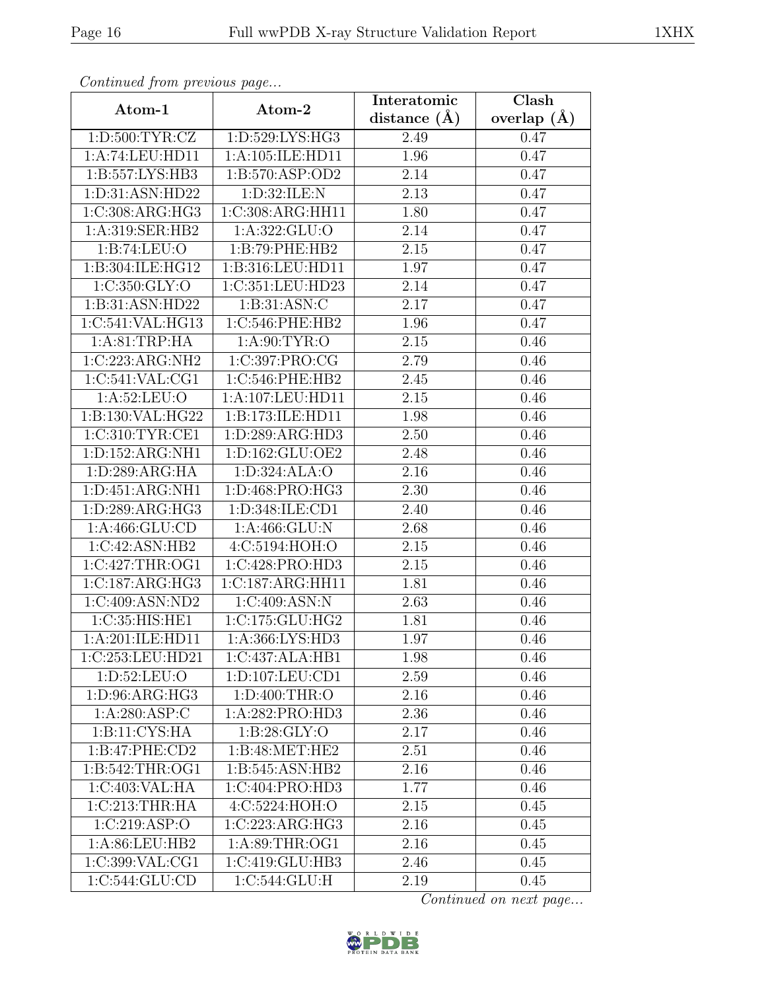| Continua from previous page |                              | Interatomic       | Clash           |
|-----------------------------|------------------------------|-------------------|-----------------|
| Atom-1                      | Atom-2                       | distance $(\AA)$  | overlap $(\AA)$ |
| 1: D:500: TYR: CZ           | 1:D:529:LYS:HG3              | 2.49              | 0.47            |
| 1:A:74:LEU:HD11             | 1:A:105:ILE:HD11             | 1.96              | 0.47            |
| 1:B:557:LYS:HB3             | 1: B: 570: ASP: OD2          | 2.14              | 0.47            |
| 1:D:31:ASN:HD22             | 1:D:32:ILE:N                 | 2.13              | 0.47            |
| 1:C:308:ARG:HG3             | 1:C:308:ARG:HH11             | 1.80              | 0.47            |
| 1:A:319:SER:HB2             | 1: A: 322: GLU:O             | 2.14              | 0.47            |
| 1:B:74:LEU:O                | $1: B:79:$ PHE:HB2           | $\overline{2.15}$ | 0.47            |
| 1:B:304:ILE:HG12            | 1:B:316:LEU:HD11             | 1.97              | 0.47            |
| 1:C:350:GLY:O               | 1:C:351:LEU:HD23             | 2.14              | 0.47            |
| 1:B:31:ASN:HD22             | 1: B:31: ASN: C              | 2.17              | 0.47            |
| 1:C:541:VAL:HG13            | 1:C:546:PHE:HB2              | 1.96              | 0.47            |
| 1:A:81:TRP:HA               | 1: A:90: TYR:O               | 2.15              | 0.46            |
| 1:C:223:ARG:NH2             | 1:C:397:PRO:CG               | 2.79              | 0.46            |
| 1:C:541:VAL:CG1             | 1:C:546:PHE:HB2              | 2.45              | 0.46            |
| 1:A:52:LEU:O                | 1:A:107:LEU:HD11             | 2.15              | 0.46            |
| 1:B:130:VAL:HG22            | 1:B:173:ILE:HD11             | 1.98              | 0.46            |
| 1:C:310:TYR:CE1             | 1:D:289:ARG:HD3              | 2.50              | 0.46            |
| 1:D:152:ARG:NH1             | 1: D: 162: GLU: OE2          | 2.48              | 0.46            |
| 1:D:289:ARG:HA              | 1:D:324:ALA:O                | 2.16              | 0.46            |
| 1: D: 451: ARG: NH1         | 1:D:468:PRO:HG3              | 2.30              | 0.46            |
| 1:D:289:ARG:HG3             | 1:D:348:ILE:CD1              | 2.40              | 0.46            |
| 1:A:466:GLU:CD              | 1: A:466: GLU:N              | 2.68              | 0.46            |
| 1:C:42:ASN:HB2              | 4:C:5194:HOH:O               | 2.15              | 0.46            |
| 1:C:427:THR:OG1             | 1:C:428:PRO:HD3              | $\overline{2.15}$ | 0.46            |
| 1:C:187:ARG:HG3             | 1:C:187:ARG:HH11             | 1.81              | 0.46            |
| 1:C:409:ASN:ND2             | 1:C:409:ASN:N                | 2.63              | 0.46            |
| 1:C:35:HIS:HE1              | 1:C:175:GLU:HG2              | 1.81              | 0.46            |
| 1:A:201:ILE:HD11            | 1: A: 366: LYS: HD3          | 1.97              | 0.46            |
| 1:C:253:LEU:HD21            | 1:C:437:ALA:HB1              | 1.98              | 0.46            |
| 1:D:52:LEU:O                | 1:D:107:LEU:CD1              | 2.59              | 0.46            |
| 1: D:96: ARG: HG3           | 1: D:400: THR:O              | 2.16              | 0.46            |
| 1: A:280: ASP:C             | 1:A:282:PRO:HD3              | 2.36              | 0.46            |
| 1:B:11:CYS:HA               | 1: B:28: GLY:O               | 2.17              | 0.46            |
| 1:B:47:PHE:CD2              | 1: B:48: MET:HE2             | 2.51              | 0.46            |
| 1: B:542:THR:OG1            | $1:B:545:ASN:\overline{HB2}$ | 2.16              | 0.46            |
| 1:C:403:VAL:HA              | 1:C:404:PRO:HD3              | 1.77              | 0.46            |
| 1:C:213:THR:HA              | 4:C:5224:HOH:O               | 2.15              | 0.45            |
| 1:C:219:ASP:O               | 1:C:223:ARG:HG3              | 2.16              | 0.45            |
| 1: A:86:LEU:HB2             | 1: A:89:THR:OG1              | 2.16              | 0.45            |
| 1:C:399:VAL:CG1             | 1:C:419:GLU:HB3              | 2.46              | 0.45            |
| 1:C:544:GLU:CD              | 1:C:544:GLU:H                | 2.19              | 0.45            |

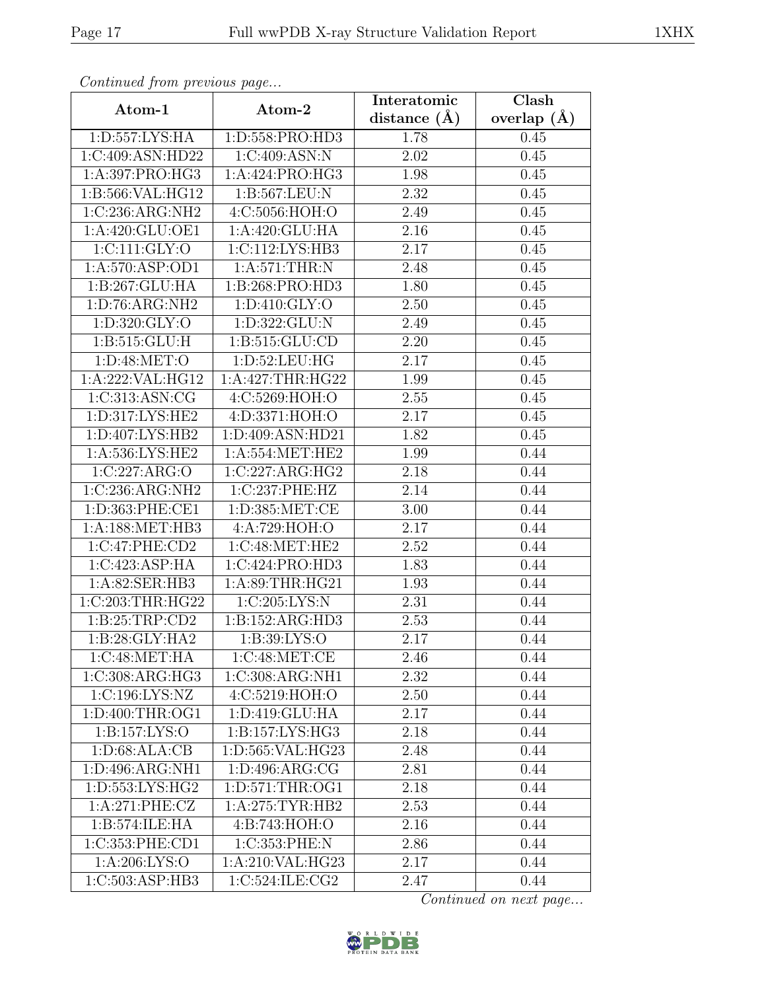| Continued from previous page  |                     | Interatomic       | Clash         |
|-------------------------------|---------------------|-------------------|---------------|
| Atom-1                        | Atom-2              | distance $(A)$    | overlap $(A)$ |
| 1: D: 557: LYS: HA            | 1:D:558:PRO:HD3     | 1.78              | 0.45          |
| 1:C:409:ASN:HD22              | 1:C:409:ASN:N       | 2.02              | 0.45          |
| 1:A:397:PRO:HG3               | 1:A:424:PRO:HG3     | 1.98              | 0.45          |
| 1:B:566:VAL:HG12              | 1:B:567:LEU:N       | 2.32              | 0.45          |
| 1:C:236:ARG:NH2               | 4:C:5056:HOH:O      | 2.49              | 0.45          |
| 1:A:420:GLU:OE1               | 1:A:420:GLU:HA      | 2.16              | 0.45          |
| 1:CI11:GLY:O                  | 1:C:112:LYS:HB3     | 2.17              | 0.45          |
| 1:A:570:ASP:OD1               | 1: A:571:THR:N      | 2.48              | 0.45          |
| 1:B:267:GLU:HA                | 1:B:268:PRO:HD3     | 1.80              | 0.45          |
| $1: D:76: \overline{ARG:NH2}$ | 1: D: 410: GLY: O   | 2.50              | 0.45          |
| 1: D:320: GLY:O               | 1:D:322:GLU:N       | 2.49              | 0.45          |
| 1: B:515: GLU: H              | 1: B: 515: GLU: CD  | 2.20              | 0.45          |
| 1: D:48: MET:O                | 1:D:52:LEU:HG       | 2.17              | 0.45          |
| 1:A:222:VAL:HG12              | 1:A:427:THR:HG22    | 1.99              | 0.45          |
| $1:C:313:A\overline{SN:CG}$   | 4:C:5269:HOH:O      | 2.55              | 0.45          |
| 1:D:317:LYS:HE2               | 4:D:3371:HOH:O      | 2.17              | 0.45          |
| 1:D:407:LYS:HB2               | 1:D:409:ASN:HD21    | 1.82              | 0.45          |
| 1:A:536:LYS:HE2               | 1: A: 554: MET: HE2 | 1.99              | 0.44          |
| 1:C:227:ARG:O                 | 1:C:227:ARG:HG2     | 2.18              | 0.44          |
| 1:C:236:ARG:NH2               | 1:C:237:PHE:HZ      | 2.14              | 0.44          |
| 1:D:363:PHE:CE1               | 1: D: 385: MET:CE   | 3.00              | 0.44          |
| 1:A:188:MET:HB3               | 4:A:729:HOH:O       | 2.17              | 0.44          |
| 1:C:47:PHE:CD2                | 1:C:48:MET:HE2      | 2.52              | 0.44          |
| 1:C:423:ASP:HA                | 1:C:424:PRO:HD3     | 1.83              | 0.44          |
| 1: A:82: SER:HB3              | 1: A:89:THR:HG21    | 1.93              | 0.44          |
| 1:C:203:THR:HG22              | 1:C:205:LYS:N       | $\overline{2}.31$ | 0.44          |
| 1:B:25:TRP:CD2                | 1:B:152:ARG:HD3     | 2.53              | 0.44          |
| 1:B:28:GLY:HA2                | 1:B:39:LYS:O        | 2.17              | 0.44          |
| 1:C:48:MET:HA                 | 1:C:48:MET:CE       | 2.46              | 0.44          |
| 1:C:308:ARG:HG3               | 1:C:308:ARG:NH1     | 2.32              | 0.44          |
| 1:C:196:LYS:NZ                | 4:C:5219:HOH:O      | 2.50              | 0.44          |
| 1:D:400:THR:OG1               | 1:D:419:GLU:HA      | 2.17              | 0.44          |
| $1: B: 157: LY\overline{S:O}$ | 1:B:157:LYS:HG3     | 2.18              | 0.44          |
| 1: D:68: ALA:CB               | 1:D:565:VAL:HG23    | 2.48              | 0.44          |
| 1: D:496: ARG:NH1             | 1: D: 496: ARG: CG  | 2.81              | 0.44          |
| 1: D: 553: LYS: HG2           | 1:D:571:THR:OG1     | 2.18              | 0.44          |
| 1:A:271:PHE:CZ                | 1: A:275:TYR:HB2    | 2.53              | 0.44          |
| 1:B:574:ILE:HA                | 4:B:743:HOH:O       | 2.16              | 0.44          |
| 1:C:353:PHE:CD1               | 1:C:353:PHE:N       | 2.86              | 0.44          |
| 1: A:206: LYS:O               | 1:A:210:VAL:HG23    | 2.17              | 0.44          |
| 1:C:503:ASP:HB3               | 1:C:524:ILE:CG2     | 2.47              | 0.44          |

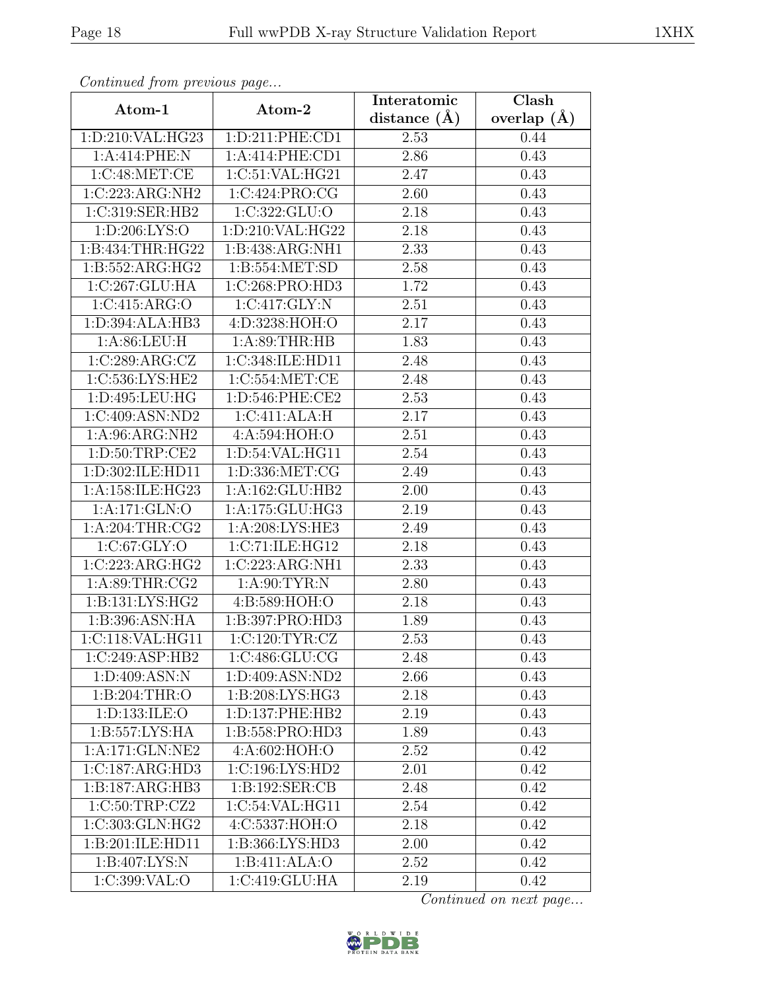| Continued from previous page   |                     | Interatomic       | Clash           |
|--------------------------------|---------------------|-------------------|-----------------|
| Atom-1                         | Atom-2              | distance $(\AA)$  | overlap $(\AA)$ |
| 1: D:210:VAL:HG23              | 1: D: 211: PHE: CD1 | 2.53              | 0.44            |
| 1:A:414:PHE:N                  | 1:A:414:PHE:CD1     | 2.86              | 0.43            |
| 1:C:48:MET:CE                  | 1:C:51:VAL:HG21     | 2.47              | 0.43            |
| 1:C:223:ARG:NH2                | 1:C:424:PRO:CG      | 2.60              | 0.43            |
| 1:C:319:SER:HB2                | 1:C:322:GLU:O       | 2.18              | 0.43            |
| 1: D:206: LYS:O                | 1:D:210:VAL:HG22    | 2.18              | 0.43            |
| 1:B:434:THR:HG22               | 1:B:438:ARG:NH1     | $\overline{2}.33$ | 0.43            |
| 1:B:552:ARG:HG2                | 1:B:554:MET:SD      | 2.58              | 0.43            |
| 1:C:267:GLU:HA                 | 1:C:268:PRO:HD3     | 1.72              | 0.43            |
| 1:C:415:ARG:O                  | 1:C:417:GLY:N       | 2.51              | 0.43            |
| 1:D:394:ALA:HB3                | 4:D:3238:HOH:O      | 2.17              | 0.43            |
| 1:A:86:LEU:H                   | 1: A:89:THR:HB      | 1.83              | 0.43            |
| 1:C:289:ARG:CZ                 | 1:C:348:ILE:HD11    | 2.48              | 0.43            |
| 1:C:536:LYS:HE2                | 1:C:554:MET:CE      | 2.48              | 0.43            |
| 1:D:495:LEU:HG                 | 1:D:546:PHE:CE2     | 2.53              | 0.43            |
| 1:C:409:ASN:ND2                | 1:C:411:ALA:H       | 2.17              | 0.43            |
| 1:A:96:ARG:NH2                 | 4:A:594:HOH:O       | 2.51              | 0.43            |
| 1: D:50: TRP:CE2               | 1:D:54:VAL:HG11     | 2.54              | 0.43            |
| 1:D:302:ILE:HD11               | 1:D:336:MET:CG      | 2.49              | 0.43            |
| 1:A:158:ILE:HG23               | 1: A: 162: GLU: HB2 | 2.00              | 0.43            |
| 1:A:171:GLN:O                  | 1:A:175:GLU:HG3     | 2.19              | 0.43            |
| 1: A:204:THR:CG2               | 1:A:208:LYS:HE3     | 2.49              | 0.43            |
| 1:C:67:GLY:O                   | 1:C:71:ILE:HG12     | 2.18              | 0.43            |
| 1:C:223:ARG:HG2                | 1:C:223:ARG:NH1     | 2.33              | 0.43            |
| 1: A:89:THR:CG2                | 1: A:90: TYR: N     | 2.80              | 0.43            |
| 1: B: 131: LYS: HG2            | 4: B:589: HOH:O     | 2.18              | 0.43            |
| 1:B:396:ASN:HA                 | 1:B:397:PRO:HD3     | 1.89              | 0.43            |
| 1:C:118:VAL:HG11               | 1:C:120:TYR:CZ      | 2.53              | 0.43            |
| 1:C:249:ASP:HB2                | 1:C:486:GLU:CG      | 2.48              | 0.43            |
| 1: D:409: ASN: N               | 1:D:409:ASN:ND2     | 2.66              | 0.43            |
| 1:B:204:THR:O                  | 1:B:208:LYS:HG3     | 2.18              | 0.43            |
| 1:D:133:ILE:O                  | 1:D:137:PHE:HB2     | 2.19              | 0.43            |
| $1: B: 557: LY\overline{S:HA}$ | 1:B:558:PRO:HD3     | 1.89              | 0.43            |
| 1:A:171:GLN:NE2                | 4:A:602:HOH:O       | 2.52              | 0.42            |
| 1:C:187:ARG:HD3                | 1: C: 196: LYS: HD2 | 2.01              | 0.42            |
| 1:B:187:ARG:HB3                | 1:B:192:SER:CB      | 2.48              | 0.42            |
| 1:C:50:TRP:CZ2                 | 1:C:54:VAL:HG11     | 2.54              | 0.42            |
| 1:C:303:GLN:HG2                | 4:C:5337:HOH:O      | 2.18              | 0.42            |
| 1:B:201:ILE:HD11               | 1:B:366:LYS:HD3     | 2.00              | 0.42            |
| 1:B:407:LYS:N                  | 1:B:411:ALA:O       | 2.52              | 0.42            |
| 1:C:399:VAL:O                  | 1:C:419:GLU:HA      | 2.19              | 0.42            |

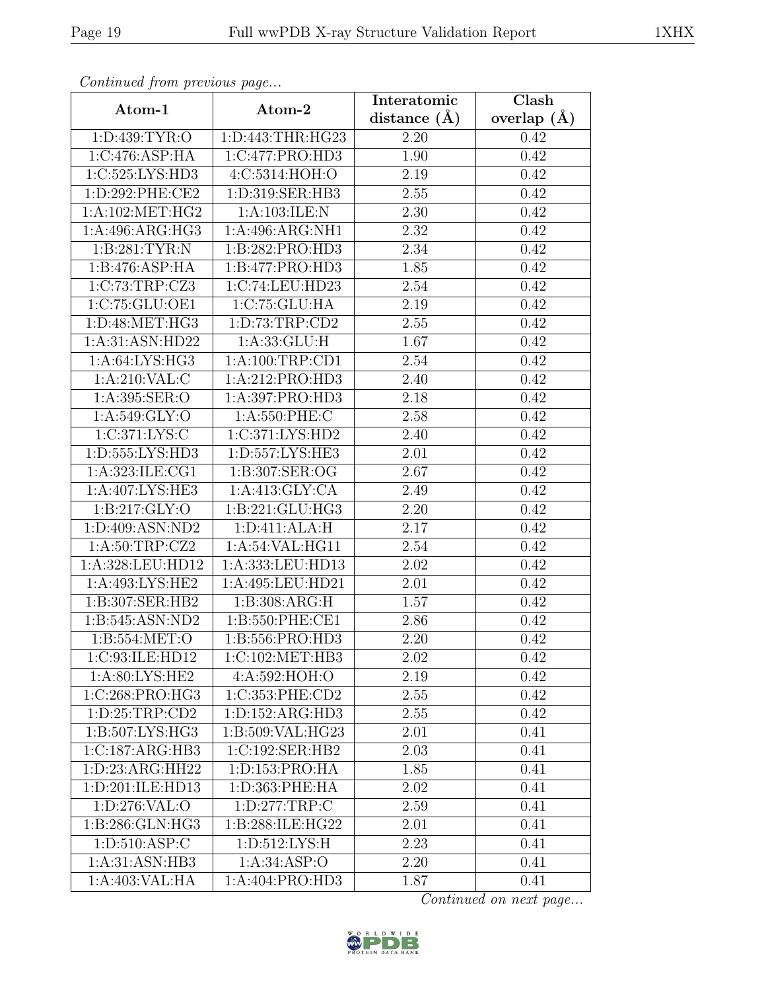| Communica from previous page |                                | Interatomic      | Clash           |
|------------------------------|--------------------------------|------------------|-----------------|
| Atom-1                       | Atom-2                         | distance $(\AA)$ | overlap $(\AA)$ |
| 1: D: 439: TYR: O            | 1:D:443:THR:HG23               | 2.20             | 0.42            |
| 1:C:476:ASP:HA               | 1:C:477:PRO:HD3                | 1.90             | 0.42            |
| 1:C:525:LYS:HD3              | 4:C:5314:HOH:O                 | 2.19             | 0.42            |
| 1:D:292:PHE:CE2              | 1:D:319:SER:HB3                | 2.55             | 0.42            |
| 1: A:102: MET:HG2            | 1:A:103:ILE:N                  | 2.30             | 0.42            |
| 1:A:496:ARG:HG3              | 1:A:496:ARG:NH1                | 2.32             | 0.42            |
| 1:B:281:TYR:N                | 1:B:282:PRO:HD3                | 2.34             | 0.42            |
| 1: B:476: ASP: HA            | 1:B:477:PRO:HD3                | 1.85             | 0.42            |
| 1:C:73:TRP:CZ3               | 1:C:74:LEU:HD23                | 2.54             | 0.42            |
| 1:C:75:GLU:OE1               | 1:C:75:GLU:HA                  | 2.19             | 0.42            |
| 1:D:48:MET:HG3               | 1: D: 73: TRP: CD2             | 2.55             | 0.42            |
| 1:A:31:ASN:HD22              | 1: A: 33: GLU: H               | 1.67             | 0.42            |
| 1: A:64: LYS: HG3            | 1: A:100:TRP:CD1               | 2.54             | 0.42            |
| 1: A:210: VAL: C             | 1:A:212:PRO:HD3                | 2.40             | 0.42            |
| 1:A:395:SER:O                | 1:A:397:PRO:HD3                | 2.18             | 0.42            |
| 1:A:549:GLY:O                | 1: A:550: PHE: C               | 2.58             | 0.42            |
| 1:C:371:LYS:C                | 1:C:371:LYS:HD2                | 2.40             | 0.42            |
| 1: D: 555: LYS: HD3          | 1:D:557:LYS:HE3                | 2.01             | 0.42            |
| 1:A:323:ILE:CG1              | 1:B:307:SER:OG                 | 2.67             | 0.42            |
| 1:A:407:LYS:HE3              | 1: A:413: GLY:CA               | 2.49             | 0.42            |
| 1: B: 217: GLY: O            | 1:B:221:GLU:HG3                | 2.20             | 0.42            |
| 1:D:409:ASN:ND2              | 1: D: 411: ALA: H              | 2.17             | 0.42            |
| 1:A:50:TRP:CZ2               | 1:A:54:VAL:HG11                | 2.54             | 0.42            |
| 1:A:328:LEU:HD12             | 1:A:333:LEU:HD13               | 2.02             | 0.42            |
| 1:A:493:LYS:HE2              | 1:A:495:LEU:HD21               | 2.01             | 0.42            |
| 1:B:307:SER:HB2              | 1:B:308:ARG:H                  | 1.57             | 0.42            |
| 1: B:545: ASN: ND2           | 1:B:550:PHE:CE1                | 2.86             | 0.42            |
| 1: B: 554: MET:O             | 1:B:556:PRO:HD3                | 2.20             | 0.42            |
| 1:C:93:ILE:HD12              | 1:C:102:MET:HB3                | 2.02             | 0.42            |
| 1: A:80: LYS: HE2            | 4:A:592:HOH:O                  | 2.19             | 0.42            |
| 1:C:268:PRO:HG3              | 1:C:353:PHE:CD2                | 2.55             | 0.42            |
| 1: D:25:TRP:CD2              | 1:D:152:ARG:HD3                | 2.55             | 0.42            |
| 1:B:507:LYS:HG3              | 1:B:509:VAL:HG23               | 2.01             | 0.41            |
| 1:C:187:ARG:HB3              | 1:C:192:SER:HB2                | 2.03             | 0.41            |
| 1: D: 23: ARG: HH22          | 1:D:153:PRO:HA                 | 1.85             | 0.41            |
| 1: D:201: ILE:HD13           | $1: D: 363: \overline{PHE:HA}$ | 2.02             | 0.41            |
| 1:D:276:VAL:O                | 1: D: 277: TRP:C               | 2.59             | 0.41            |
| 1:B:286:GLN:HG3              | 1:B:288:ILE:HG22               | 2.01             | 0.41            |
| 1: D:510: ASP: C             | 1: D: 512: LYS: H              | 2.23             | 0.41            |
| 1:A:31:ASN:HB3               | 1: A:34:ASP:O                  | 2.20             | 0.41            |
| 1:A:403:VAL:HA               | 1:A:404:PRO:HD3                | 1.87             | 0.41            |

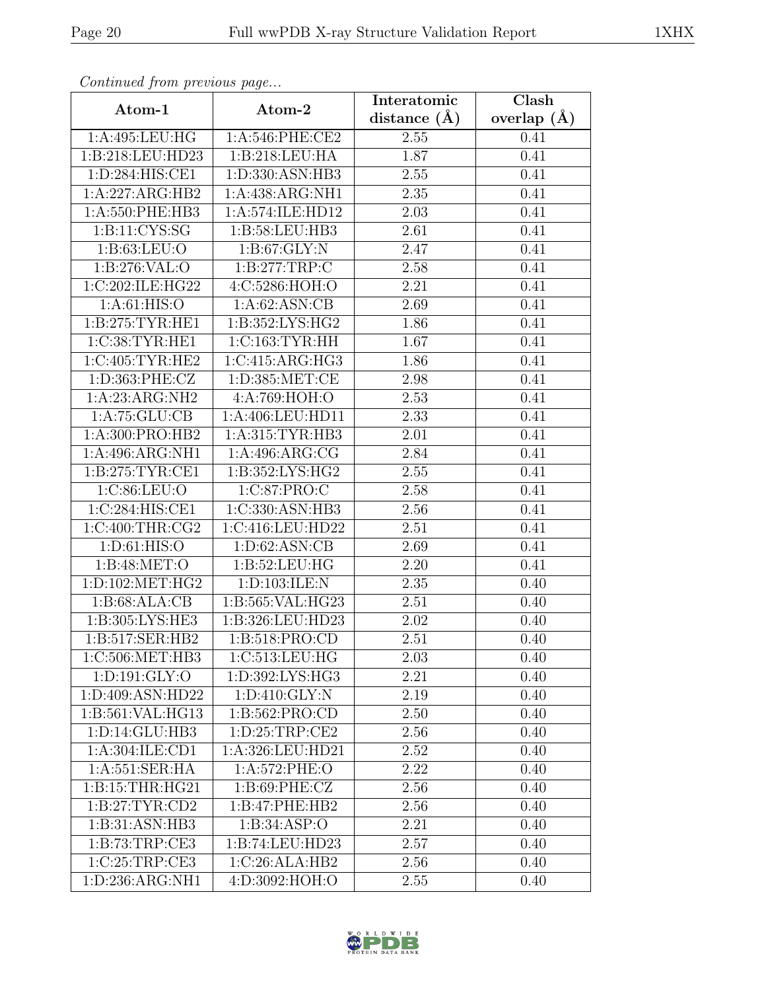| Continued from previous page |                   | Interatomic       | Clash           |  |
|------------------------------|-------------------|-------------------|-----------------|--|
| Atom-1                       | Atom-2            | distance $(A)$    | overlap $(\AA)$ |  |
| 1:A:495:LEU:HG               | 1: A:546: PHE:CE2 | 2.55              | 0.41            |  |
| 1:B:218:LEU:HD23             | 1:B:218:LEU:HA    | 1.87              | 0.41            |  |
| 1: D:284: HIS: CE1           | 1:D:330:ASN:HB3   | 2.55              | 0.41            |  |
| 1:A:227:ARG:HB2              | 1:A:438:ARG:NH1   | 2.35              | 0.41            |  |
| 1:A:550:PHE:HB3              | 1:A:574:ILE:HD12  | 2.03              | 0.41            |  |
| 1: B: 11: CYS: SG            | 1:B:58:LEU:HB3    | 2.61              | 0.41            |  |
| 1: B:63:LEU:O                | 1: B:67: GLY:N    | $\overline{2.47}$ | 0.41            |  |
| 1:B:276:VAL:O                | 1:B:277:TRP:C     | 2.58              | 0.41            |  |
| 1:C:202:ILE:HG22             | 4:C:5286:HOH:O    | 2.21              | 0.41            |  |
| 1: A:61: HIS:O               | 1: A:62: ASN:CB   | 2.69              | 0.41            |  |
| 1:B:275:TYR:HE1              | 1:B:352:LYS:HG2   | 1.86              | 0.41            |  |
| 1:C:38:TYR:HE1               | 1:C:163:TYR:HH    | 1.67              | 0.41            |  |
| 1:C:405:TYR:HE2              | 1:C:415:ARG:HG3   | 1.86              | 0.41            |  |
| 1:D:363:PHE:CZ               | 1: D: 385: MET:CE | 2.98              | 0.41            |  |
| 1:A:23:ARG:NH2               | 4:A:769:HOH:O     | 2.53              | 0.41            |  |
| 1:A:75:GLU:CB                | 1:A:406:LEU:HD11  | 2.33              | 0.41            |  |
| 1:A:300:PRO:HB2              | 1:A:315:TYR:HB3   | 2.01              | 0.41            |  |
| 1:A:496:ARG:NH1              | 1:A:496:ARG:CG    | 2.84              | 0.41            |  |
| 1: B: 275: TYR: CE1          | 1:B:352:LYS:HG2   | 2.55              | 0.41            |  |
| 1:C:86:LEU:O                 | 1:C:87:PRO:C      | 2.58              | 0.41            |  |
| 1:C:284:HIS:CE1              | 1:C:330:ASN:HB3   | 2.56              | 0.41            |  |
| 1:C:400:THR:CG2              | 1:C:416:LEU:HD22  | 2.51              | 0.41            |  |
| 1: D:61: HIS:O               | 1: D:62: ASN:CB   | 2.69              | 0.41            |  |
| 1: B:48: MET:O               | 1: B:52: LEU: HG  | $\overline{2.20}$ | 0.41            |  |
| 1: D: 102: MET: HG2          | 1:D:103:ILE:N     | 2.35              | 0.40            |  |
| 1: B:68: ALA:CB              | 1:B:565:VAL:HG23  | 2.51              | 0.40            |  |
| 1:B:305:LYS:HE3              | 1:B:326:LEU:HD23  | 2.02              | 0.40            |  |
| 1:B:517:SER:HB2              | 1:B:518:PRO:CD    | 2.51              | 0.40            |  |
| 1:C:506:MET:HB3              | 1:C:513:LEU:HG    | 2.03              | 0.40            |  |
| 1: D: 191: GLY: O            | 1:D:392:LYS:HG3   | 2.21              | 0.40            |  |
| 1:D:409:ASN:HD22             | 1: D:410: GLY:N   | 2.19              | 0.40            |  |
| 1:B:561:VAL:HG13             | 1: B: 562: PRO:CD | 2.50              | 0.40            |  |
| 1:D:14:GLU:HB3               | 1: D:25:TRP:CE2   | 2.56              | 0.40            |  |
| 1:A:304:ILE:CD1              | 1:A:326:LEU:HD21  | 2.52              | 0.40            |  |
| 1: A:551: SER: HA            | 1:A:572:PHE:O     | 2.22              | 0.40            |  |
| 1: B: 15: THR: HG21          | 1: B:69: PHE: CZ  | 2.56              | 0.40            |  |
| 1: B:27: TYR:CD2             | 1:B:47:PHE:HB2    | 2.56              | 0.40            |  |
| 1:B:31:ASN:HB3               | 1:B:34:ASP:O      | 2.21              | 0.40            |  |
| 1: B: 73: TRP: CE3           | 1:B:74:LEU:HD23   | 2.57              | 0.40            |  |
| 1:C:25:TRP:CE3               | 1:C:26:ALA:HB2    | 2.56              | 0.40            |  |
| 1:D:236:ARG:NH1              | 4:D:3092:HOH:O    | 2.55              | 0.40            |  |

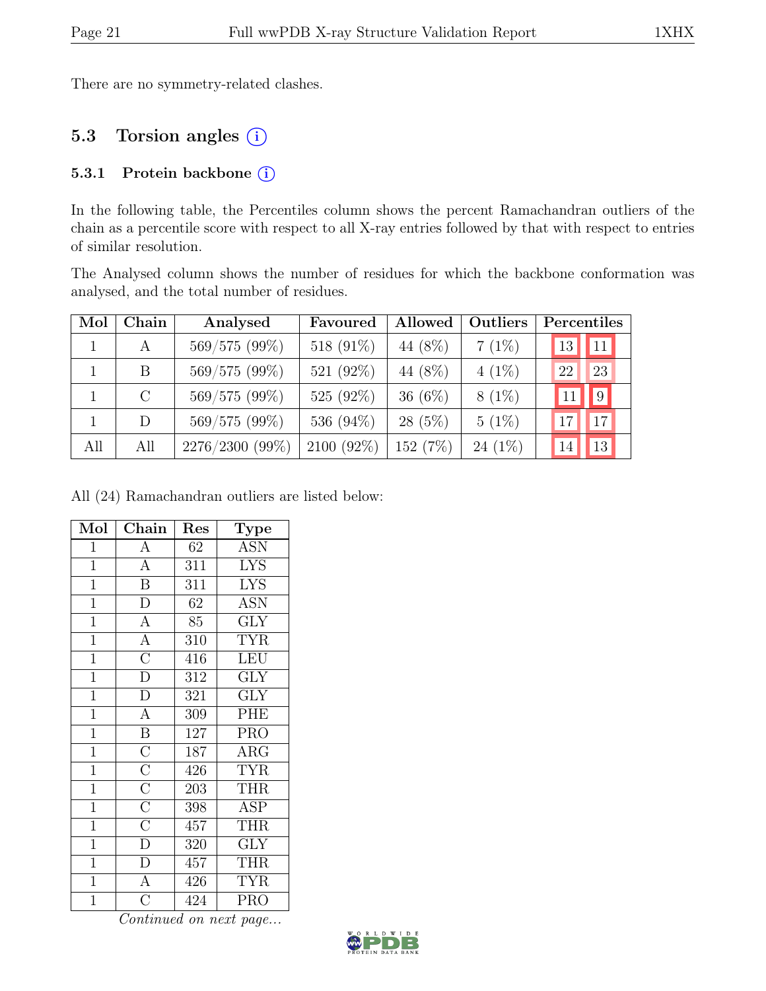There are no symmetry-related clashes.

# 5.3 Torsion angles (i)

#### 5.3.1 Protein backbone (i)

In the following table, the Percentiles column shows the percent Ramachandran outliers of the chain as a percentile score with respect to all X-ray entries followed by that with respect to entries of similar resolution.

The Analysed column shows the number of residues for which the backbone conformation was analysed, and the total number of residues.

| Mol | Chain   | Analysed        | Favoured     | Allowed   | Outliers  |            | Percentiles    |  |
|-----|---------|-----------------|--------------|-----------|-----------|------------|----------------|--|
|     | A       | 569/575 (99%)   | 518 $(91\%)$ | 44 (8%)   | $7(1\%)$  | 13         | 11             |  |
|     | B.      | 569/575 (99%)   | 521 (92%)    | 44 (8%)   | $4(1\%)$  | 22         | 23             |  |
|     | $\rm C$ | 569/575 (99%)   | 525 (92%)    | 36 $(6%)$ | $8(1\%)$  | $\vert$ 11 | $\overline{9}$ |  |
|     | D.      | 569/575 (99%)   | 536 (94%)    | $28(5\%)$ | $5(1\%)$  | 17         | 17             |  |
| All | All     | 2276/2300 (99%) | 2100 (92%)   | 152 (7%)  | $24(1\%)$ |            | <sup>13</sup>  |  |

All (24) Ramachandran outliers are listed below:

| Mol            | Chain                                                                                                | Res             | Type                    |
|----------------|------------------------------------------------------------------------------------------------------|-----------------|-------------------------|
| $\mathbf{1}$   | A                                                                                                    | 62              | <b>ASN</b>              |
| $\overline{1}$ | $\overline{A}$                                                                                       | 311             | <b>LYS</b>              |
| $\overline{1}$ | $\overline{\mathbf{B}}$                                                                              | 311             | <b>LYS</b>              |
| $\overline{1}$ | $\overline{\rm D}$                                                                                   | $\overline{62}$ | <b>ASN</b>              |
| $\overline{1}$ | $\overline{A}$                                                                                       | 85              | $\overline{\text{GLY}}$ |
| $\overline{1}$ | $\frac{1}{\text{A}}$                                                                                 | 310             | <b>TYR</b>              |
| $\overline{1}$ | $\overline{C}$                                                                                       | 416             | LEU                     |
| $\overline{1}$ | $\overline{\rm D}$                                                                                   | 312             | <b>GLY</b>              |
| $\overline{1}$ | $\overline{\rm D}$                                                                                   | 321             | <b>GLY</b>              |
| $\overline{1}$ | $\overline{A}$                                                                                       | 309             | $\overline{\text{PHE}}$ |
| $\overline{1}$ | $\overline{\mathbf{B}}$                                                                              | 127             | <b>PRO</b>              |
| $\overline{1}$ | $\frac{\overline{\text{C}}}{\overline{\text{C}}}}$ $\frac{\overline{\text{C}}}{\overline{\text{C}}}$ | 187             | $\rm{ARG}$              |
| $\overline{1}$ |                                                                                                      | 426             | <b>TYR</b>              |
| $\mathbf{1}$   |                                                                                                      | 203             | <b>THR</b>              |
| $\overline{1}$ |                                                                                                      | 398             | ASP                     |
| $\mathbf{1}$   |                                                                                                      | 457             | <b>THR</b>              |
| $\overline{1}$ | $\overline{D}$                                                                                       | 320             | $\overline{\text{GLY}}$ |
| $\mathbf{1}$   | $\overline{D}$                                                                                       | 457             | <b>THR</b>              |
| $\overline{1}$ | $\overline{A}$                                                                                       | 426             | <b>TYR</b>              |
| $\overline{1}$ | $\overline{\rm C}$                                                                                   | 424             | PRO                     |

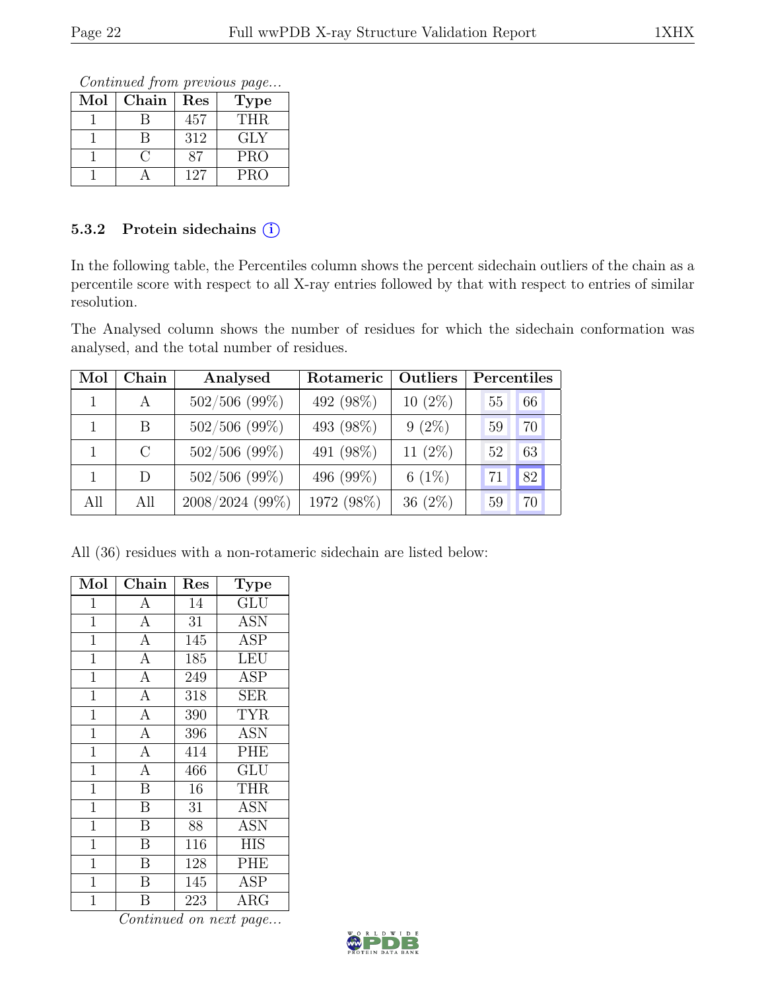Continued from previous page...

| Mol | Chain | Res | <b>Type</b> |
|-----|-------|-----|-------------|
|     |       | 457 | THR.        |
|     |       | 312 | GLY         |
|     |       |     | <b>PRO</b>  |
|     |       | 127 | <b>PRO</b>  |

### 5.3.2 Protein sidechains (i)

In the following table, the Percentiles column shows the percent sidechain outliers of the chain as a percentile score with respect to all X-ray entries followed by that with respect to entries of similar resolution.

The Analysed column shows the number of residues for which the sidechain conformation was analysed, and the total number of residues.

| Mol | Chain         | Analysed        | Rotameric  | Outliers   | Percentiles |    |
|-----|---------------|-----------------|------------|------------|-------------|----|
|     | A             | $502/506$ (99%) | 492 (98%)  | $10(2\%)$  | 55          | 66 |
|     | B             | $502/506$ (99%) | 493 (98%)  | $9(2\%)$   | 59          | 70 |
|     | $\mathcal{C}$ | $502/506$ (99%) | 491 (98%)  | 11 $(2\%)$ | 52          | 63 |
|     | D             | $502/506$ (99%) | 496 (99%)  | 6 $(1%)$   |             | 82 |
| All | All           | 2008/2024 (99%) | 1972 (98%) | 36 $(2\%)$ | 59          | 70 |

All (36) residues with a non-rotameric sidechain are listed below:

| Mol          | Chain                   | $\operatorname{Res}% \left( \mathcal{N}\right) \equiv\operatorname{Res}(\mathcal{N}_{0},\mathcal{N}_{0})$ | Type                                       |
|--------------|-------------------------|-----------------------------------------------------------------------------------------------------------|--------------------------------------------|
| $\mathbf{1}$ | $\mathbf{A}$            | 14                                                                                                        | <b>GLU</b>                                 |
| $\mathbf{1}$ | $\overline{A}$          | 31                                                                                                        | <b>ASN</b>                                 |
| $\mathbf{1}$ | $\overline{A}$          | 145                                                                                                       | <b>ASP</b>                                 |
| $\mathbf 1$  | $\overline{A}$          | 185                                                                                                       | LEU                                        |
| $\mathbf 1$  | $\overline{A}$          | 249                                                                                                       | <b>ASP</b>                                 |
| 1            | $\mathbf{A}$            | 318                                                                                                       | SER                                        |
| $\mathbf{1}$ | $\overline{A}$          | 390                                                                                                       | <b>TYR</b>                                 |
| $\mathbf{1}$ | $\overline{A}$          | 396                                                                                                       | <b>ASN</b>                                 |
| $\mathbf{1}$ | $\overline{A}$          | 414                                                                                                       | <b>PHE</b>                                 |
| $\mathbf{1}$ | $\overline{A}$          | 466                                                                                                       | $\operatorname{GL} \bar{\operatorname{U}}$ |
| $\mathbf{1}$ | $\overline{\mathrm{B}}$ | 16                                                                                                        | <b>THR</b>                                 |
| $\mathbf 1$  | $\overline{\mathrm{B}}$ | 31                                                                                                        | <b>ASN</b>                                 |
| 1            | $\overline{B}$          | 88                                                                                                        | <b>ASN</b>                                 |
| $\mathbf{1}$ | $\overline{B}$          | 116                                                                                                       | <b>HIS</b>                                 |
| $\mathbf{1}$ | $\overline{B}$          | 128                                                                                                       | PHE                                        |
| $\mathbf{1}$ | $\overline{B}$          | 145                                                                                                       | <b>ASP</b>                                 |
| $\mathbf{1}$ | $\overline{\mathrm{B}}$ | 223                                                                                                       | ARG                                        |

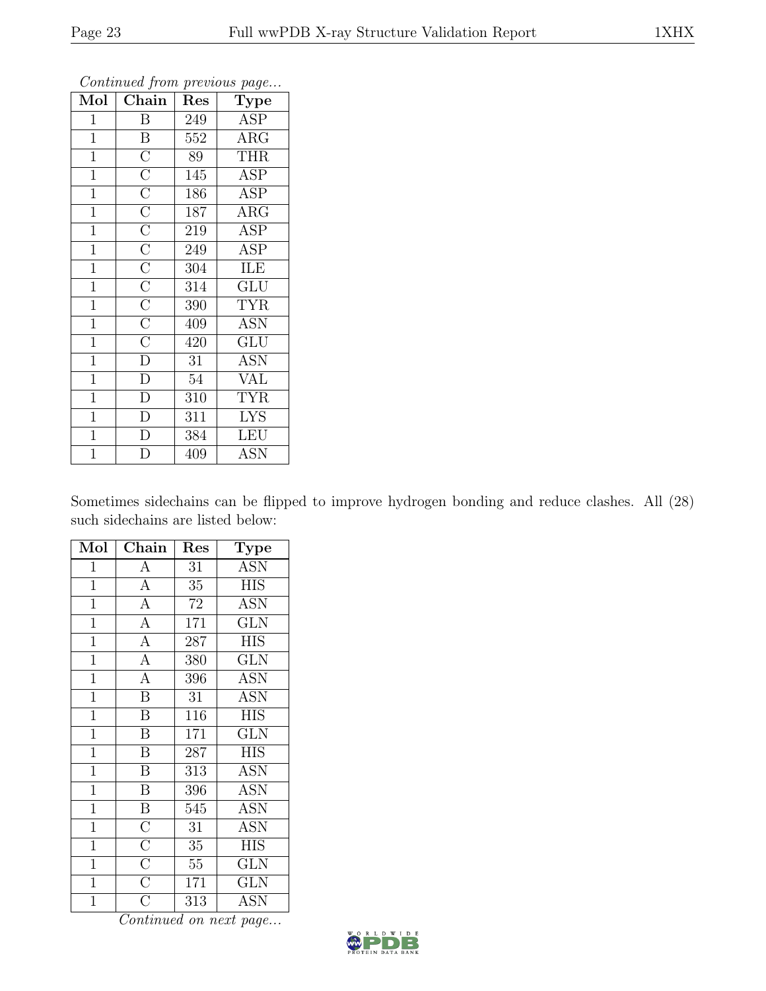| $\operatorname{Mol}$ | ${\rm Chain}$                                                                                                                                                                                                                                     | Res              | <b>Type</b>               |
|----------------------|---------------------------------------------------------------------------------------------------------------------------------------------------------------------------------------------------------------------------------------------------|------------------|---------------------------|
| 1                    | B                                                                                                                                                                                                                                                 | 249              | <b>ASP</b>                |
| $\mathbf{1}$         | $\, {\bf B}$                                                                                                                                                                                                                                      | 552              | $\rm{ARG}$                |
| $\overline{1}$       |                                                                                                                                                                                                                                                   | $\overline{89}$  | <b>THR</b>                |
| $\overline{1}$       |                                                                                                                                                                                                                                                   | 145              | <b>ASP</b>                |
| $\overline{1}$       |                                                                                                                                                                                                                                                   | 186              | $\overline{\text{ASP}}$   |
| $\overline{1}$       |                                                                                                                                                                                                                                                   | 187              | $\rm{ARG}$                |
| $\overline{1}$       |                                                                                                                                                                                                                                                   | 219              | <b>ASP</b>                |
| $\overline{1}$       |                                                                                                                                                                                                                                                   | 249              | <b>ASP</b>                |
| $\overline{1}$       |                                                                                                                                                                                                                                                   | 304              | ILE                       |
| $\overline{1}$       |                                                                                                                                                                                                                                                   | 314              | $\overline{\mathrm{GLU}}$ |
| $\overline{1}$       | $\overline{\text{C}}$ $\overline{\text{C}}$ $\overline{\text{C}}$ $\overline{\text{C}}$ $\overline{\text{C}}$ $\overline{\text{C}}$ $\overline{\text{C}}$ $\overline{\text{C}}$ $\overline{\text{C}}$ $\overline{\text{C}}$ $\overline{\text{C}}$ | 390              | <b>TYR</b>                |
| $\overline{1}$       |                                                                                                                                                                                                                                                   | 409              | <b>ASN</b>                |
| $\overline{1}$       |                                                                                                                                                                                                                                                   | 420              | $\overline{{\rm GLU}}$    |
| $\mathbf{1}$         | $\overline{D}$                                                                                                                                                                                                                                    | 31               | <b>ASN</b>                |
| $\overline{1}$       | $\overline{\rm D}$                                                                                                                                                                                                                                | 54               | <b>VAL</b>                |
| $\overline{1}$       | $\overline{\rm D}$                                                                                                                                                                                                                                | 310              | <b>TYR</b>                |
| $\overline{1}$       | $\overline{\rm D}$                                                                                                                                                                                                                                | $\overline{311}$ | <b>LYS</b>                |
| $\mathbf{1}$         | $\overline{D}$                                                                                                                                                                                                                                    | 384              | <b>LEU</b>                |
| $\overline{1}$       | $\overline{\rm D}$                                                                                                                                                                                                                                | 409              | <b>ASN</b>                |

Sometimes sidechains can be flipped to improve hydrogen bonding and reduce clashes. All (28) such sidechains are listed below:

| Mol            | Chain                               | Res             | Type                    |
|----------------|-------------------------------------|-----------------|-------------------------|
| $\mathbf{1}$   | A                                   | 31              | <b>ASN</b>              |
| $\overline{1}$ | $\overline{A}$                      | 35              | $\overline{\text{HIS}}$ |
| $\overline{1}$ | $\overline{A}$                      | 72              | <b>ASN</b>              |
| $\overline{1}$ | $\overline{A}$                      | 171             | <b>GLN</b>              |
| $\overline{1}$ | $\overline{A}$                      | 287             | <b>HIS</b>              |
| $\mathbf{1}$   | $\overline{A}$                      | 380             | <b>GLN</b>              |
| $\overline{1}$ | $\overline{A}$                      | 396             | $\overline{\text{ASN}}$ |
| $\mathbf{1}$   | $\overline{B}$                      | 31              | <b>ASN</b>              |
| $\mathbf{1}$   | $\overline{\mathrm{B}}$             | 116             | <b>HIS</b>              |
| $\overline{1}$ | $\overline{\mathbf{B}}$             | 171             | GLN                     |
| $\overline{1}$ | $\overline{B}$                      | 287             | <b>HIS</b>              |
| $\mathbf 1$    | B                                   | 313             | ASN                     |
| $\mathbf 1$    | $\, {\bf B}$                        | 396             | ASN                     |
| $\mathbf{1}$   | $\overline{B}$                      | 545             | <b>ASN</b>              |
| $\overline{1}$ |                                     | $\overline{31}$ | <b>ASN</b>              |
| $\overline{1}$ | $\frac{\overline{C}}{\overline{C}}$ | 35              | <b>HIS</b>              |
| $\overline{1}$ |                                     | $55\,$          | $\overline{\text{GLN}}$ |
| $\overline{1}$ | $\overline{C}$                      | 171             | <b>GLN</b>              |
| 1              | $\overline{\rm C}$                  | 313             | <b>ASN</b>              |

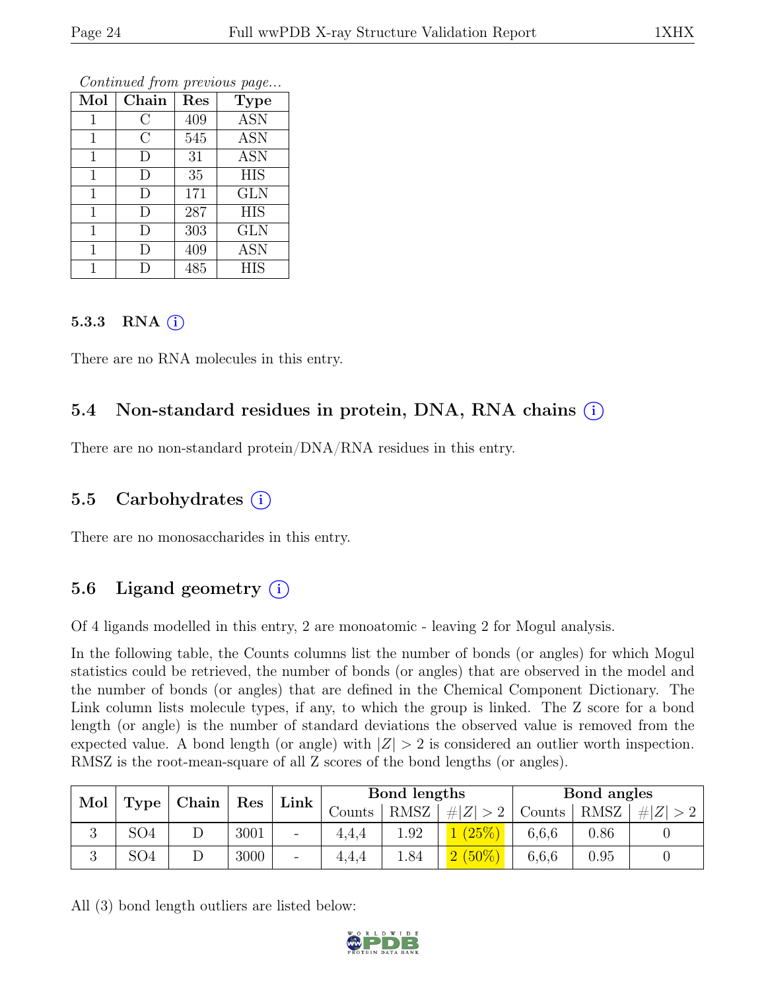|              |         | ı   | ı           |
|--------------|---------|-----|-------------|
| Mol          | Chain   | Res | <b>Type</b> |
| 1            | С       | 409 | <b>ASN</b>  |
| 1            | $\rm C$ | 545 | <b>ASN</b>  |
| 1            | D       | 31  | <b>ASN</b>  |
| $\mathbf{1}$ | D       | 35  | <b>HIS</b>  |
| $\mathbf{1}$ | D       | 171 | <b>GLN</b>  |
| $\mathbf{1}$ | D       | 287 | <b>HIS</b>  |
| $\mathbf{1}$ | D       | 303 | <b>GLN</b>  |
| 1            | D       | 409 | <b>ASN</b>  |
|              | D       | 485 | <b>HIS</b>  |

#### 5.3.3 RNA  $(i)$

There are no RNA molecules in this entry.

### 5.4 Non-standard residues in protein, DNA, RNA chains (i)

There are no non-standard protein/DNA/RNA residues in this entry.

### 5.5 Carbohydrates  $(i)$

There are no monosaccharides in this entry.

### 5.6 Ligand geometry  $(i)$

Of 4 ligands modelled in this entry, 2 are monoatomic - leaving 2 for Mogul analysis.

In the following table, the Counts columns list the number of bonds (or angles) for which Mogul statistics could be retrieved, the number of bonds (or angles) that are observed in the model and the number of bonds (or angles) that are defined in the Chemical Component Dictionary. The Link column lists molecule types, if any, to which the group is linked. The Z score for a bond length (or angle) is the number of standard deviations the observed value is removed from the expected value. A bond length (or angle) with  $|Z| > 2$  is considered an outlier worth inspection. RMSZ is the root-mean-square of all Z scores of the bond lengths (or angles).

| Mol | Type            | Chain |      |                          | Link<br>Res |             |             | Bond lengths |      |         | Bond angles |  |
|-----|-----------------|-------|------|--------------------------|-------------|-------------|-------------|--------------|------|---------|-------------|--|
|     |                 |       |      |                          | Counts      | <b>RMSZ</b> | $\# Z  > 2$ | Counts       | RMSZ | $\# Z $ |             |  |
| ಲ   | SO <sub>4</sub> |       | 3001 | $\overline{\phantom{a}}$ | 4,4,4       | 1.92        |             | 6,6,6        | 0.86 |         |             |  |
| ◡   | SO <sub>4</sub> |       | 3000 | $\overline{\phantom{a}}$ | 4.4.4       | 1.84        | $2(50\%)$   | 6,6,6        | 0.95 |         |             |  |

All (3) bond length outliers are listed below:

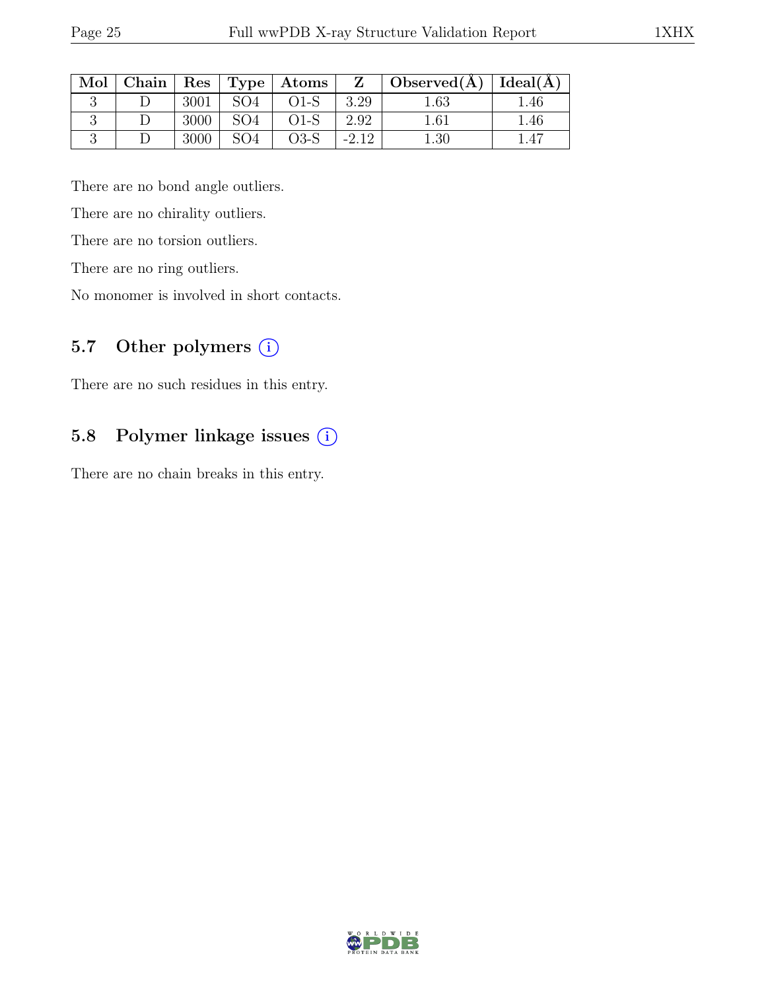| Mol | Chain |      |                 | Res   Type   Atoms | Z      | $\top$ Observed(A) | Ideal(A) |
|-----|-------|------|-----------------|--------------------|--------|--------------------|----------|
|     |       | 3001 | SO <sub>4</sub> | $O1-S$             | 3.29   | $1.63\,$           | . 46     |
|     |       | 3000 | SO <sub>4</sub> | $O1-S$             | 2.92   | $1.61\,$           | 1.46     |
|     |       | 3000 | SO <sub>4</sub> | $O3-S$             | $-212$ | $1.30\,$           |          |

There are no bond angle outliers.

There are no chirality outliers.

There are no torsion outliers.

There are no ring outliers.

No monomer is involved in short contacts.

### 5.7 Other polymers (i)

There are no such residues in this entry.

# 5.8 Polymer linkage issues (i)

There are no chain breaks in this entry.

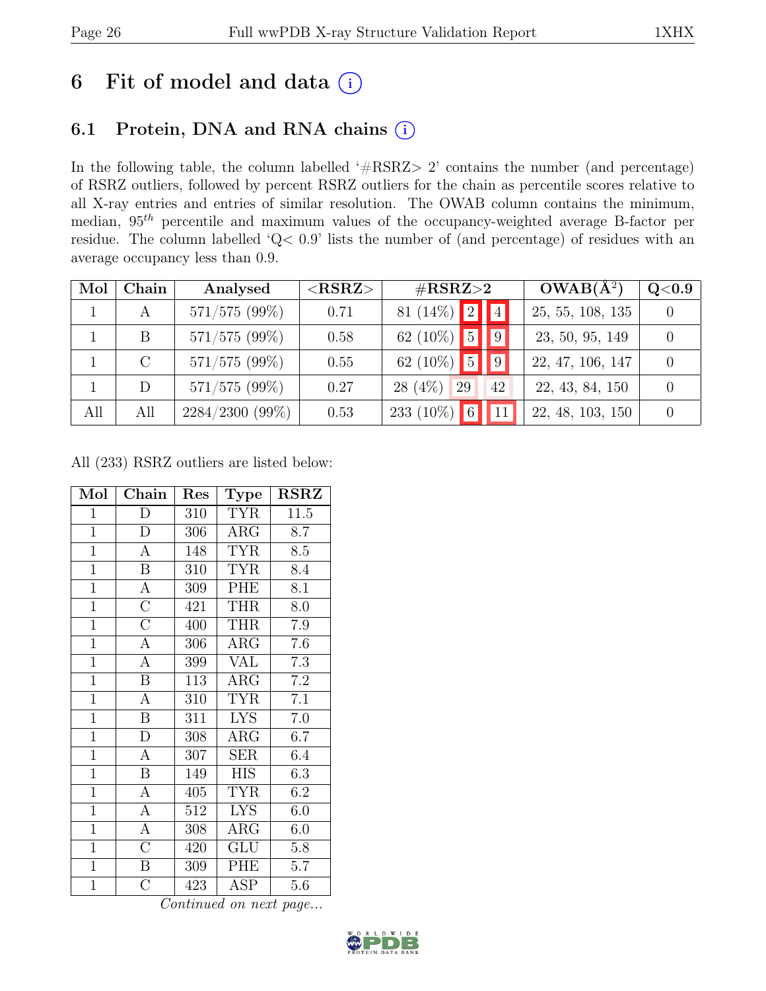# 6 Fit of model and data  $(i)$

# 6.1 Protein, DNA and RNA chains (i)

In the following table, the column labelled ' $\#\text{RSRZ}>2$ ' contains the number (and percentage) of RSRZ outliers, followed by percent RSRZ outliers for the chain as percentile scores relative to all X-ray entries and entries of similar resolution. The OWAB column contains the minimum, median,  $95<sup>th</sup>$  percentile and maximum values of the occupancy-weighted average B-factor per residue. The column labelled 'Q< 0.9' lists the number of (and percentage) of residues with an average occupancy less than 0.9.

| Mol | Chain         | Analysed          | $<$ RSRZ $>$ | $\#\text{RSRZ}\text{>2}$         | $OWAB(A^2)$      | Q <sub>0.9</sub> |
|-----|---------------|-------------------|--------------|----------------------------------|------------------|------------------|
|     | A             | 571/575(99%)      | 0.71         | 81 (14%) $\boxed{2}$ $\boxed{4}$ | 25, 55, 108, 135 |                  |
|     | B             | $571/575$ (99%)   | 0.58         | 62 (10%) $\boxed{5}$ $\boxed{9}$ | 23, 50, 95, 149  |                  |
|     | $\mathcal{C}$ | $571/575$ (99%)   | 0.55         | 62 (10%) $\boxed{5}$ $\boxed{9}$ | 22, 47, 106, 147 |                  |
|     | D             | $571/575(99\%)$   | 0.27         | $28(4\%)$<br>29<br>42            | 22, 43, 84, 150  |                  |
| All | All           | $2284/2300(99\%)$ | 0.53         | 233 (10%) 6 11                   | 22, 48, 103, 150 |                  |

All (233) RSRZ outliers are listed below:

| Mol            | Chain                   | Res | <b>Type</b> | <b>RSRZ</b>      |
|----------------|-------------------------|-----|-------------|------------------|
| $\mathbf{1}$   | D                       | 310 | <b>TYR</b>  | 11.5             |
| $\overline{1}$ | $\mathbf{D}$            | 306 | $\rm{ARG}$  | 8.7              |
| $\mathbf{1}$   | $\mathbf{A}$            | 148 | <b>TYR</b>  | 8.5              |
| $\mathbf{1}$   | $\, {\bf B}$            | 310 | <b>TYR</b>  | 8.4              |
| $\overline{1}$ | $\overline{A}$          | 309 | PHE         | 8.1              |
| $\overline{1}$ | $\overline{C}$          | 421 | <b>THR</b>  | 8.0              |
| $\overline{1}$ | $\overline{\rm C}$      | 400 | <b>THR</b>  | $7.9\,$          |
| $\overline{1}$ | $\overline{A}$          | 306 | $\rm{ARG}$  | 7.6              |
| $\overline{1}$ | $\mathbf{A}$            | 399 | <b>VAL</b>  | 7.3              |
| $\overline{1}$ | $\overline{\mathbf{B}}$ | 113 | $\rm{ARG}$  | $\overline{7.2}$ |
| $\overline{1}$ | $\boldsymbol{A}$        | 310 | <b>TYR</b>  | 7.1              |
| $\overline{1}$ | $\overline{\mathrm{B}}$ | 311 | <b>LYS</b>  | $7.0\,$          |
| $\mathbf{1}$   | D                       | 308 | $\rm{ARG}$  | 6.7              |
| $\mathbf{1}$   | $\mathbf{A}$            | 307 | <b>SER</b>  | 6.4              |
| $\overline{1}$ | $\boldsymbol{B}$        | 149 | <b>HIS</b>  | 6.3              |
| $\overline{1}$ | $\mathbf{A}$            | 405 | <b>TYR</b>  | 6.2              |
| $\overline{1}$ | $\overline{A}$          | 512 | <b>LYS</b>  | 6.0              |
| $\mathbf{1}$   | A                       | 308 | $\rm{ARG}$  | 6.0              |
| $\mathbf{1}$   | $\mathcal{C}$           | 420 | GLU         | 5.8              |
| $\overline{1}$ | $\, {\bf B}$            | 309 | PHE         | 5.7              |
| $\overline{1}$ | $\overline{\rm C}$      | 423 | ASP         | 5.6              |

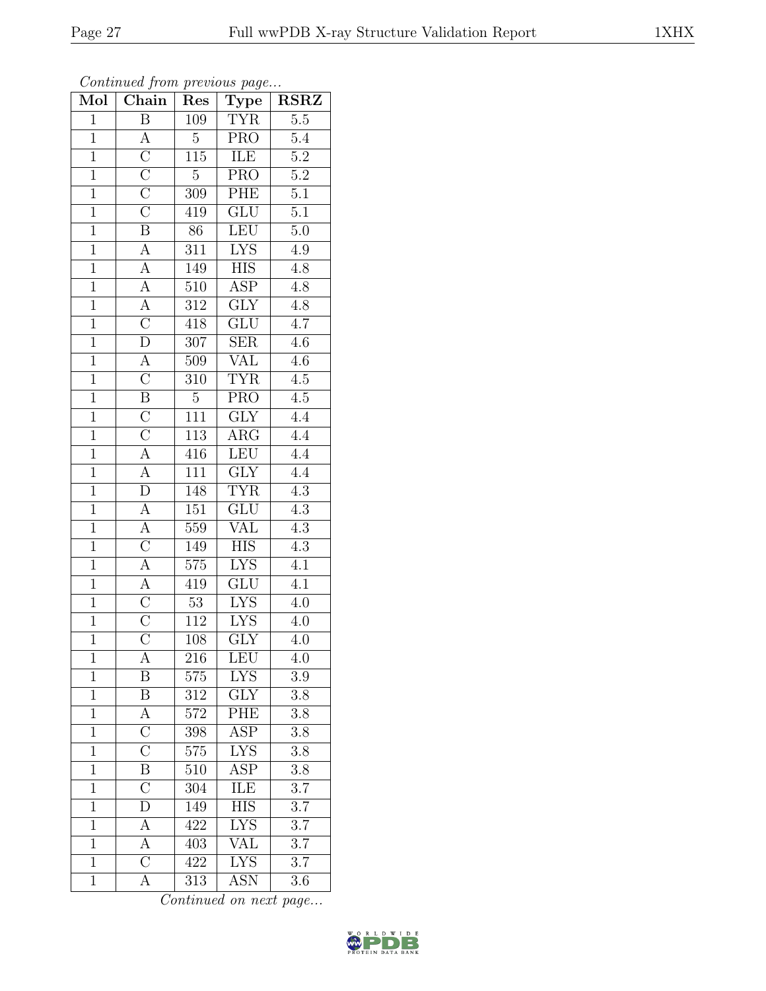| Mol            | $\overline{\text{Chain}}$                                               | Res              | <b>Type</b>             | $\overline{\text{RSR}}$ |
|----------------|-------------------------------------------------------------------------|------------------|-------------------------|-------------------------|
| $\mathbf{1}$   | $\overline{\mathbf{B}}$                                                 | 109              | <b>TYR</b>              | $\overline{5.5}$        |
| $\mathbf{1}$   | $\boldsymbol{A}$                                                        | $\overline{5}$   | $\overline{\text{PRO}}$ | 5.4                     |
| $\overline{1}$ | $\overline{C}$                                                          | $\overline{115}$ | ILE                     | $\overline{5.2}$        |
| $\overline{1}$ |                                                                         | $\overline{5}$   | $\overline{\text{PRO}}$ | $\overline{5.2}$        |
| $\overline{1}$ | $\frac{\overline{C}}{\overline{C}}$                                     | $\overline{309}$ | PHE                     | $\overline{5.1}$        |
| $\mathbf{1}$   |                                                                         | 419              | GLU                     | $5\overline{.1}$        |
| $\overline{1}$ | $\overline{\mathbf{B}}$                                                 | 86               | LEU                     | $5.0\,$                 |
| $\overline{1}$ | $\overline{A}$                                                          | 311              | <b>LYS</b>              | $4.\overline{9}$        |
| $\overline{1}$ |                                                                         | 149              | ${\rm HIS}$             | $\overline{4.8}$        |
| $\overline{1}$ | $\frac{\overline{A}}{\overline{A}}$ $\frac{\overline{A}}{\overline{C}}$ | $\overline{510}$ | $\overline{\text{ASP}}$ | $\overline{4.8}$        |
| $\overline{1}$ |                                                                         | 312              | $\overline{\text{GLY}}$ | 4.8                     |
| $\overline{1}$ |                                                                         | 418              | $\overline{\text{GLU}}$ | 4.7                     |
| $\overline{1}$ | $\overline{D}$                                                          | $\overline{307}$ | SER                     | 4.6                     |
| $\overline{1}$ | $\overline{A}$                                                          | 509              | <b>VAL</b>              | $4.6\,$                 |
| $\overline{1}$ | $\overline{\rm C}$                                                      | $\overline{310}$ | <b>TYR</b>              | $\overline{4.5}$        |
| $\overline{1}$ | $\overline{\mathbf{B}}$                                                 | $\bf 5$          | $\overline{\text{PRO}}$ | $4.5\,$                 |
| $\overline{1}$ | $\overline{C}$                                                          | $\overline{111}$ | $\overline{\text{GLY}}$ | $\overline{4.4}$        |
| $\overline{1}$ | $\frac{\overline{C}}{A}$                                                | 113              | $AR\overline{G}$        | $\overline{4.4}$        |
| $\overline{1}$ |                                                                         | 416              | LEU                     | $\overline{4.4}$        |
| $\overline{1}$ | $\overline{A}$                                                          | 111              | GLY                     | $\overline{4.4}$        |
| $\mathbf{1}$   | $\overline{D}$                                                          | 148              | <b>TYR</b>              | $\overline{4.3}$        |
| $\overline{1}$ | $\frac{1}{\underline{A}}$                                               | $\overline{151}$ | $\overline{\text{GLU}}$ | $\overline{4.3}$        |
| $\mathbf{1}$   | $\overline{A}$                                                          | 559              | VAL                     | 4.3                     |
| $\overline{1}$ | $\overline{C}$                                                          | 149              | $\overline{HIS}$        | $\overline{4.3}$        |
| $\overline{1}$ | $\overline{A}$                                                          | 575              | <b>LYS</b>              | 4.1                     |
| $\overline{1}$ | $\frac{\overline{A}}{\overline{C}}$                                     | 419              | $\overline{\text{GLU}}$ | $\overline{4.1}$        |
| $\overline{1}$ |                                                                         | $\overline{53}$  | <b>LYS</b>              | 4.0                     |
| $\overline{1}$ | $\overline{\rm C}$                                                      | $112\,$          | <b>LYS</b>              | 4.0                     |
| $\overline{1}$ | $\overline{\rm C}$                                                      | 108              | $\overline{\text{GLY}}$ | 4.0                     |
| $\mathbf{1}$   | А                                                                       | 216              | LEU                     | 4.0                     |
| $\mathbf{1}$   | B                                                                       | 575              | <b>LYS</b>              | 3.9                     |
| $\mathbf{1}$   | $\overline{\mathrm{B}}$                                                 | 312              | $\overline{\text{GLY}}$ | $\overline{3.8}$        |
| $\mathbf{1}$   | $\boldsymbol{A}$                                                        | 572              | <b>PHE</b>              | $3.\overline{8}$        |
| $\overline{1}$ | $\overline{\rm C}$                                                      | 398              | $\overline{\text{ASP}}$ | $\overline{3.8}$        |
| $\mathbf{1}$   | $\overline{\rm C}$                                                      | 575              | L <sub>YS</sub>         | $3.8\,$                 |
| $\mathbf{1}$   | $\overline{\mathrm{B}}$                                                 | 510              | $\overline{\rm ASP}$    | $3.8\,$                 |
| $\mathbf{1}$   | $\overline{\rm C}$                                                      | 304              | ILE                     | 3.7                     |
| $\overline{1}$ | $\bar{\rm D}$                                                           | 149              | <b>HIS</b>              | 3.7                     |
| $\mathbf{1}$   | А                                                                       | 422              | $\overline{\text{LYS}}$ | $3.7\,$                 |
| $\mathbf{1}$   | $\boldsymbol{A}$                                                        | 403              | VAL                     | 3.7                     |
| $\mathbf{1}$   | $\overline{\rm C}$                                                      | 422              | <b>LYS</b>              | 3.7                     |
| $\mathbf{1}$   | $\mathbf{A}$                                                            | 313              | <b>ASN</b>              | 3.6                     |

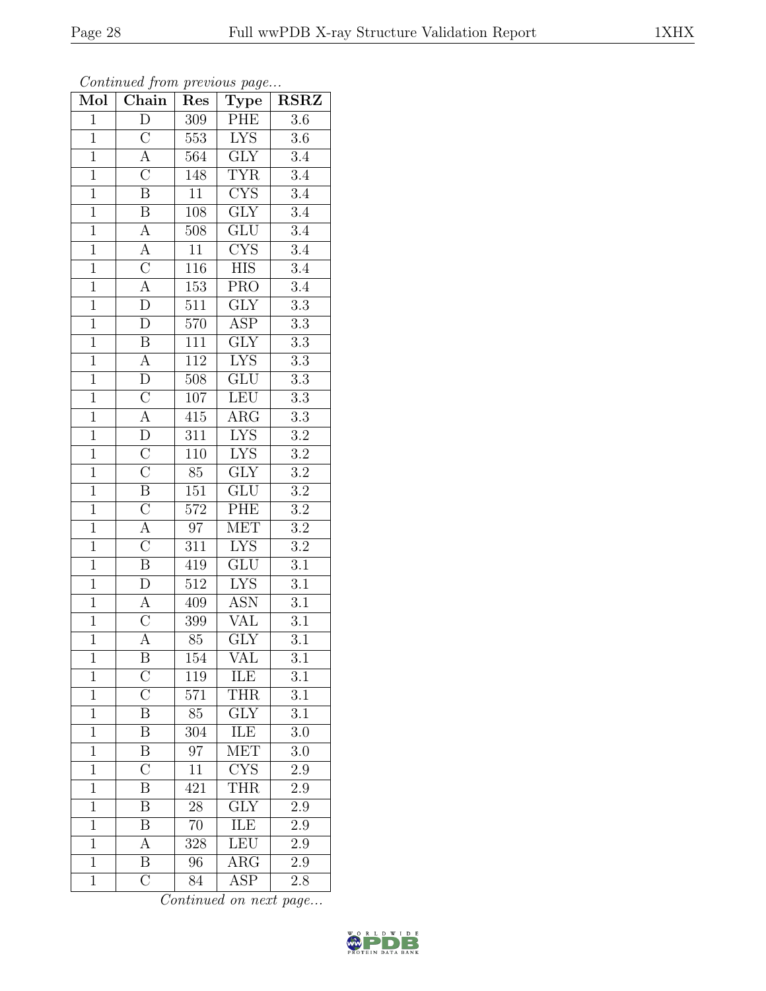| Mol            | $\overline{\text{Chain}}$ | Res              | Type                      | $\overline{\text{RSR}}$ |
|----------------|---------------------------|------------------|---------------------------|-------------------------|
| $\mathbf{1}$   | $\overline{D}$            | 309              | PHE                       | $\overline{3.6}$        |
| $\mathbf 1$    | $\overline{C}$            | 553              | $\overline{\text{LYS}}$   | 3.6                     |
| $\overline{1}$ | $\overline{A}$            | 564              | $\overline{GLY}$          | $\overline{3.4}$        |
| $\overline{1}$ | $\overline{C}$            | 148              | <b>TYR</b>                | $\overline{3.4}$        |
| $\overline{1}$ | $\overline{\mathrm{B}}$   | $\overline{11}$  | $\overline{\text{CYS}}$   | $\overline{3.4}$        |
| $\mathbf{1}$   | $\boldsymbol{B}$          | 108              | <b>GLY</b>                | 3.4                     |
| $\overline{1}$ | $\overline{A}$            | 508              | $\overline{\text{GLU}}$   | $\overline{3.4}$        |
| $\overline{1}$ | $\overline{A}$            | 11               | CYS                       | $\overline{3.4}$        |
| $\overline{1}$ | $\overline{C}$            | 116              | HIS                       | $\overline{3.4}$        |
| $\overline{1}$ | $\frac{1}{\mathbf{A}}$    | $\overline{153}$ | <b>PRO</b>                | $\overline{3.4}$        |
| $\overline{1}$ | $\overline{D}$            | 511              | $\overline{\text{GLY}}$   | $\overline{3.3}$        |
| $\overline{1}$ | $\overline{\rm D}$        | $5\overline{70}$ | $\overline{\text{ASP}}$   | $\overline{3.3}$        |
| $\overline{1}$ | $\overline{B}$            | 111              | $\overline{GLY}$          | $\overline{3.3}$        |
| $\overline{1}$ | $\overline{A}$            | 112              | <b>LYS</b>                | $\overline{3.3}$        |
| $\overline{1}$ | $\overline{D}$            | $\overline{508}$ | $\overline{\text{GLU}}$   | $\overline{3.3}$        |
| $\overline{1}$ | $\overline{C}$            | 107              | <b>LEU</b>                | $\overline{3.3}$        |
| $\overline{1}$ | $\overline{A}$            | 415              | $\overline{\text{ARG}}$   | $\overline{3.3}$        |
| $\overline{1}$ | $\overline{D}$            | 311              | $\overline{\text{LYS}}$   | $\!3.2$                 |
| $\overline{1}$ | $\overline{C}$            | 110              | <b>LYS</b>                | $\overline{3.2}$        |
| $\overline{1}$ | $\overline{\overline{C}}$ | 85               | $\overline{\mathrm{GLY}}$ | $\overline{3.2}$        |
| $\mathbf{1}$   | $\overline{\mathbf{B}}$   | 151              | $\overline{\mathrm{GLU}}$ | $\overline{3.2}$        |
| $\overline{1}$ | $\overline{C}$            | 572              | PHE                       | $\overline{3.2}$        |
| $\mathbf{1}$   | $\overline{A}$            | 97               | <b>MET</b>                | $\overline{3.2}$        |
| $\overline{1}$ | $\overline{C}$            | $3\overline{11}$ | $\overline{\text{LYS}}$   | $\overline{3.2}$        |
| $\overline{1}$ | $\overline{B}$            | $\overline{419}$ | GLU                       | 3.1                     |
| $\overline{1}$ | $\overline{D}$            | 512              | <b>LYS</b>                | $3.\overline{1}$        |
| $\overline{1}$ | $\overline{A}$            | 409              | <b>ASN</b>                | $\overline{3.1}$        |
| $\overline{1}$ | $\overline{\rm C}$        | 399              | VAL                       | $\overline{3.1}$        |
| $\overline{1}$ | $\overline{\rm A}$        | 85               | $\overline{\text{GLY}}$   | $\overline{3.1}$        |
| $\mathbf{1}$   | Β                         | 154              | VAL                       | $\overline{3.1}$        |
| $\mathbf{1}$   | $\rm C$                   | 119              | ILE                       | 3.1                     |
| $\mathbf{1}$   | $\overline{\rm C}$        | 571              | <b>THR</b>                | $\overline{3.1}$        |
| $\mathbf{1}$   | B                         | 85               | <b>GLY</b>                | 3.1                     |
| $\overline{1}$ | $\overline{\mathrm{B}}$   | 304              | <b>ILE</b>                | $\overline{3.0}$        |
| $\mathbf{1}$   | Β                         | 97               | MET                       | 3.0                     |
| $\mathbf{1}$   | $\overline{\rm C}$        | $\overline{11}$  | <b>CYS</b>                | $\overline{2.9}$        |
| $\mathbf{1}$   | B                         | 421              | <b>THR</b>                | 2.9                     |
| $\overline{1}$ | B                         | 28               | $\overline{\text{GLY}}$   | 2.9                     |
| $\mathbf{1}$   | B                         | 70               | ILE                       | 2.9                     |
| $\mathbf{1}$   | A                         | 328              | LEU                       | $2.9\,$                 |
| $\mathbf{1}$   | $\overline{\mathrm{B}}$   | 96               | $\rm{ARG}$                | 2.9                     |
| $\mathbf{1}$   | $\overline{\text{C}}$     | 84               | <b>ASP</b>                | 2.8                     |

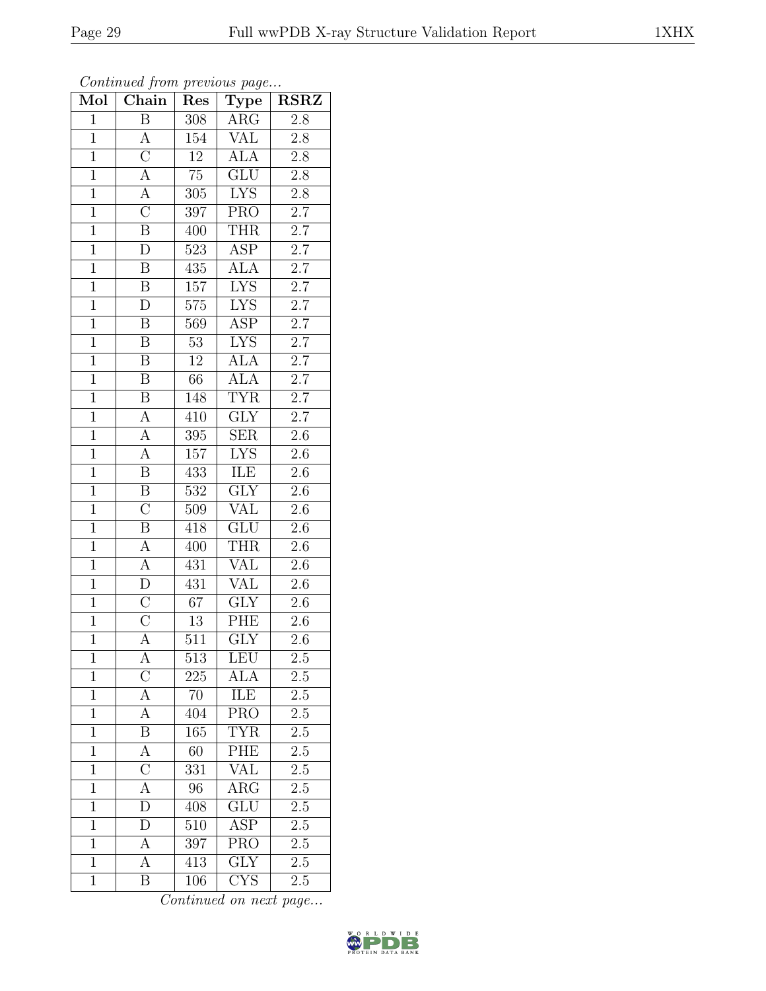| Mol            | $\boldsymbol{\theta}$<br>Chain | Res              | $\mathbf{r}$<br>$\overline{v}$<br>$\mathrm{Type}$ | <b>RSRZ</b>      |
|----------------|--------------------------------|------------------|---------------------------------------------------|------------------|
| $\overline{1}$ | $\overline{\mathbf{B}}$        | 308              | ARG                                               | 2.8              |
| $\overline{1}$ | $\overline{A}$                 | 154              | <b>VAL</b>                                        | $\overline{2.8}$ |
| $\overline{1}$ | $\overline{C}$                 | $\overline{12}$  | <b>ALA</b>                                        | $2.8\,$          |
| $\overline{1}$ | $\overline{A}$                 | $\overline{75}$  | $\overline{\text{GLU}}$                           | $2.8\,$          |
| $\overline{1}$ | $\overline{A}$                 | 305              | <b>LYS</b>                                        | $\overline{2.8}$ |
| $\overline{1}$ | $\overline{\rm C}$             | 397              | <b>PRO</b>                                        | $2.7\,$          |
| $\overline{1}$ | $\overline{\mathrm{B}}$        | 400              | <b>THR</b>                                        | $2.7\,$          |
| $\overline{1}$ | $\overline{\rm D}$             | 523              | $\overline{\text{ASP}}$                           | 2.7              |
| $\mathbf{1}$   | $\, {\bf B}$                   | 435              | <b>ALA</b>                                        | $2.7\,$          |
| $\overline{1}$ | $\overline{\mathbf{B}}$        | 157              | $\overline{\text{LYS}}$                           | $\overline{2.7}$ |
| $\overline{1}$ | $\overline{D}$                 | $575\,$          | <b>LYS</b>                                        | $2.7\,$          |
| $\overline{1}$ | $\overline{\mathbf{B}}$        | $\overline{569}$ | $\overline{\text{ASP}}$                           | $\overline{2.7}$ |
| $\overline{1}$ | $\, {\bf B}$                   | $\overline{53}$  | <b>LYS</b>                                        | $\overline{2.7}$ |
| $\mathbf{1}$   | $\, {\bf B}$                   | 12               | <b>ALA</b>                                        | $2.7\,$          |
| $\overline{1}$ | $\overline{\mathbf{B}}$        | $\overline{66}$  | $\overline{ALA}$                                  | $\overline{2.7}$ |
| $\overline{1}$ | B                              | 148              | <b>TYR</b>                                        | $\overline{2.7}$ |
| $\overline{1}$ | $\overline{A}$                 | 410              | $\overline{\text{GLY}}$                           | $\overline{2.7}$ |
| $\overline{1}$ | $\overline{\rm A}$             | 395              | $\overline{\text{SER}}$                           | $2.\overline{6}$ |
| $\overline{1}$ | $\overline{\rm A}$             | 157              | <b>LYS</b>                                        | 2.6              |
| $\overline{1}$ | $\overline{\mathrm{B}}$        | 433              | ILE                                               | $2.6\,$          |
| $\overline{1}$ | $\overline{B}$                 | 532              | $\overline{\text{GLY}}$                           | 2.6              |
| $\overline{1}$ | $\overline{\rm C}$             | 509              | $\overline{\text{VAL}}$                           | $\overline{2.6}$ |
| $\overline{1}$ | $\overline{\mathbf{B}}$        | 418              | <b>GLU</b>                                        | $2.6\,$          |
| $\overline{1}$ | $\overline{A}$                 | 400              | <b>THR</b>                                        | $2.6\,$          |
| $\overline{1}$ | $\boldsymbol{A}$               | 431              | <b>VAL</b>                                        | 2.6              |
| $\overline{1}$ | $\overline{D}$                 | 431              | <b>VAL</b>                                        | 2.6              |
| $\overline{1}$ | $\overline{C}$                 | $\overline{67}$  | $\overline{\text{GLY}}$                           | $\overline{2.6}$ |
| $\mathbf{1}$   | $\overline{\rm C}$             | 13               | PHE                                               | 2.6              |
| $\overline{1}$ | $\overline{\rm A}$             | 511              | $\overline{\text{GLY}}$                           | 2.6              |
| $\mathbf 1$    | А                              | 513              | <b>LEU</b>                                        | 2.5              |
| $\overline{1}$ | $\overline{\rm C}$             | 225              | <b>ALA</b>                                        | $2.5\,$          |
| $\mathbf{1}$   | $\overline{A}$                 | $\overline{70}$  | ILE                                               | $\overline{2.5}$ |
| $\mathbf{1}$   | $\boldsymbol{A}$               | 404              | <b>PRO</b>                                        | 2.5              |
| $\mathbf{1}$   | $\overline{\mathrm{B}}$        | 165              | <b>TYR</b>                                        | $\overline{2.5}$ |
| $\mathbf{1}$   | A                              | 60               | PHE                                               | $2.5\,$          |
| $\overline{1}$ | $\overline{\rm C}$             | 331              | <b>VAL</b>                                        | $\overline{2.5}$ |
| $\mathbf{1}$   | $\overline{A}$                 | 96               | $\rm{ARG}$                                        | $2.\overline{5}$ |
| $\mathbf{1}$   | D                              | 408              | $\overline{\text{GLU}}$                           | $2.\overline{5}$ |
| $\mathbf{1}$   | D                              | 510              | $\overline{\text{ASP}}$                           | 2.5              |
| $\overline{1}$ | $\boldsymbol{A}$               | 397              | PRO                                               | 2.5              |
| $\mathbf{1}$   | А                              | 413              | $\overline{\text{GLY}}$                           | $\overline{2.5}$ |
| $\overline{1}$ | B                              | 106              | $\overline{\text{CYS}}$                           | 2.5              |

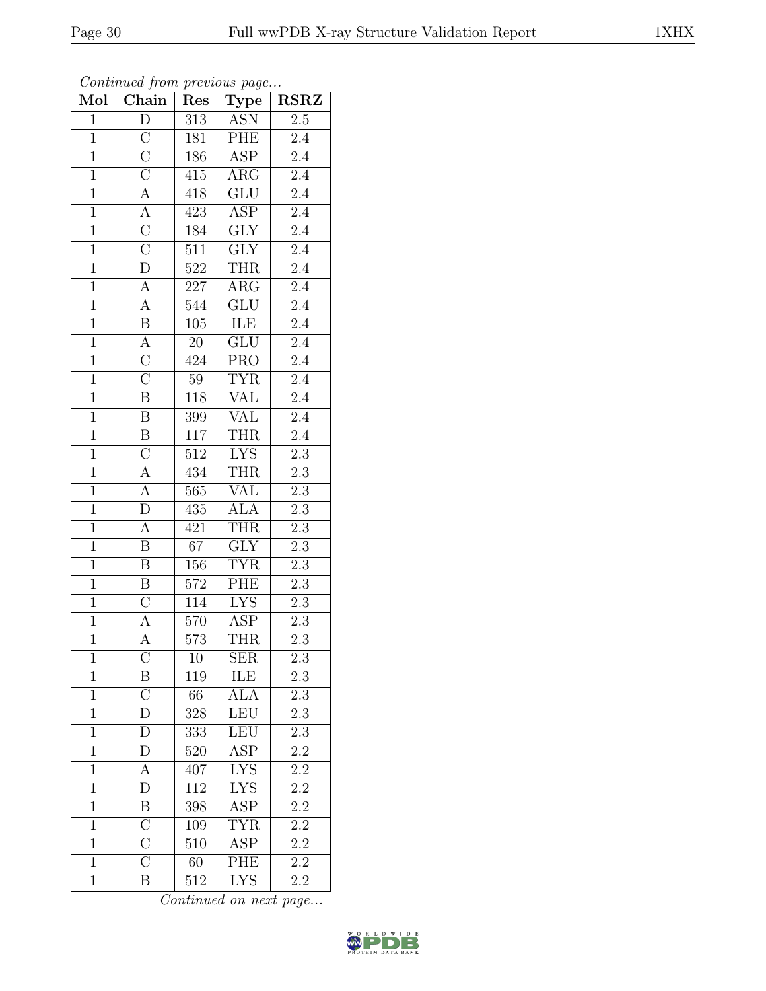| Mol            | $\overline{\text{Chain}}$           | Res              | ${\rm \bar{Type}}$      | $\overline{\text{RSR}}$ |
|----------------|-------------------------------------|------------------|-------------------------|-------------------------|
| $\mathbf{1}$   | $\overline{D}$                      | 313              | <b>ASN</b>              | $\overline{2.5}$        |
| $\mathbf 1$    | $\overline{C}$                      | 181              | PHE                     | $2.4\,$                 |
| $\overline{1}$ | $\overline{\overline{C}}$           | 186              | $\overline{\text{ASP}}$ | $\overline{2.4}$        |
| $\overline{1}$ | $\overline{C}$                      | 415              | $\rm{ARG}$              | $\overline{2.4}$        |
| $\overline{1}$ |                                     | 418              | $\overline{\text{GLU}}$ | $\overline{2.4}$        |
| $\mathbf{1}$   | $\frac{\overline{A}}{A}$            | 423              | ASP                     | 2.4                     |
| $\overline{1}$ | $\frac{\overline{C}}{\overline{C}}$ | 184              | $\overline{\text{GLY}}$ | $2.\overline{4}$        |
| $\overline{1}$ |                                     | 511              | $\overline{\text{GLY}}$ | 2.4                     |
| $\overline{1}$ | $\overline{D}$                      | $\overline{522}$ | <b>THR</b>              | $\overline{2.4}$        |
| $\overline{1}$ | $\overline{A}$                      | $\overline{227}$ | $\overline{\text{ARG}}$ | $\overline{2.4}$        |
| $\overline{1}$ | $\overline{\rm A}$                  | 544              | GLU                     | $\overline{2.4}$        |
| $\overline{1}$ | $\overline{B}$                      | $\overline{105}$ | ILE                     | $\overline{2.4}$        |
| $\overline{1}$ | $\overline{A}$                      | $\overline{20}$  | $\overline{\text{GLU}}$ | $\overline{2.4}$        |
| $\overline{1}$ | $\overline{C}$                      | 424              | <b>PRO</b>              | $\overline{2.4}$        |
| $\overline{1}$ | $\overline{\rm C}$                  | $\overline{59}$  | <b>TYR</b>              | $\overline{2.4}$        |
| $\overline{1}$ | $\overline{\text{B}}$               | 118              | <b>VAL</b>              | $2.\overline{4}$        |
| $\overline{1}$ | $\overline{\mathbf{B}}$             | $\overline{399}$ | <b>VAL</b>              | $\overline{2.4}$        |
| $\overline{1}$ | $\overline{B}$                      | 117              | <b>THR</b>              | $2.4\,$                 |
| $\overline{1}$ | $\overline{\rm C}$                  | 512              | <b>LYS</b>              | $\overline{2.3}$        |
| $\overline{1}$ | $\overline{A}$                      | 434              | <b>THR</b>              | $2.\overline{3}$        |
| $\mathbf{1}$   | $\overline{A}$                      | 565              | <b>VAL</b>              | $2.3\,$                 |
| $\overline{1}$ | $\overline{D}$                      | 435              | <b>ALA</b>              | $\overline{2.3}$        |
| $\overline{1}$ | $\overline{A}$                      | 421              | <b>THR</b>              | $\overline{2.3}$        |
| $\overline{1}$ | $\overline{\mathrm{B}}$             | $\overline{67}$  | $\overline{GLY}$        | $\overline{2.3}$        |
| $\overline{1}$ | $\overline{\mathbf{B}}$             | 156              | <b>TYR</b>              | 2.3                     |
| $\overline{1}$ | $\overline{B}$                      | 572              | PHE                     | $\overline{2.3}$        |
| $\overline{1}$ | $\overline{\rm C}$                  | 114              | <b>LYS</b>              | $\overline{2.3}$        |
| $\overline{1}$ | $\overline{\rm A}$                  | $570\,$          | ASP                     | $\overline{2.3}$        |
| $\overline{1}$ | $\overline{A}$                      | $\overline{573}$ | <b>THR</b>              | $\overline{2.3}$        |
| $\mathbf{1}$   | $\overline{\rm C}$                  | 10               | <b>SER</b>              | $\overline{2.3}$        |
| $\mathbf{1}$   | B                                   | 119              | ILE                     | $2.\overline{3}$        |
| $\mathbf{1}$   | $\overline{C}$                      | 66               | <b>ALA</b>              | $\overline{2.3}$        |
| $\mathbf{1}$   | D                                   | 328              | <b>LEU</b>              | $2.3\,$                 |
| $\overline{1}$ | $\overline{\mathrm{D}}$             | 333              | LEU                     | $\overline{2.3}$        |
| $\mathbf{1}$   | $\overline{D}$                      | 520              | $AS\overline{P}$        | $2.2\,$                 |
| $\mathbf{1}$   | $\boldsymbol{A}$                    | 407              | $\overline{\text{LYS}}$ | $\overline{2.2}$        |
| $\mathbf{1}$   | D                                   | 112              | <b>LYS</b>              | 2.2                     |
| $\overline{1}$ | $\, {\bf B}$                        | 398              | ASP                     | $\overline{2.2}$        |
| $\mathbf{1}$   | $\overline{C}$                      | 109              | TYR                     | 2.2                     |
| $\mathbf{1}$   | $\overline{\rm C}$                  | 510              | ASP                     | $2.2\,$                 |
| $\mathbf{1}$   | $\overline{\rm C}$                  | 60               | PHE                     | $\overline{2.2}$        |
| $\mathbf{1}$   | $\overline{B}$                      | 512              | <b>LYS</b>              | 2.2                     |

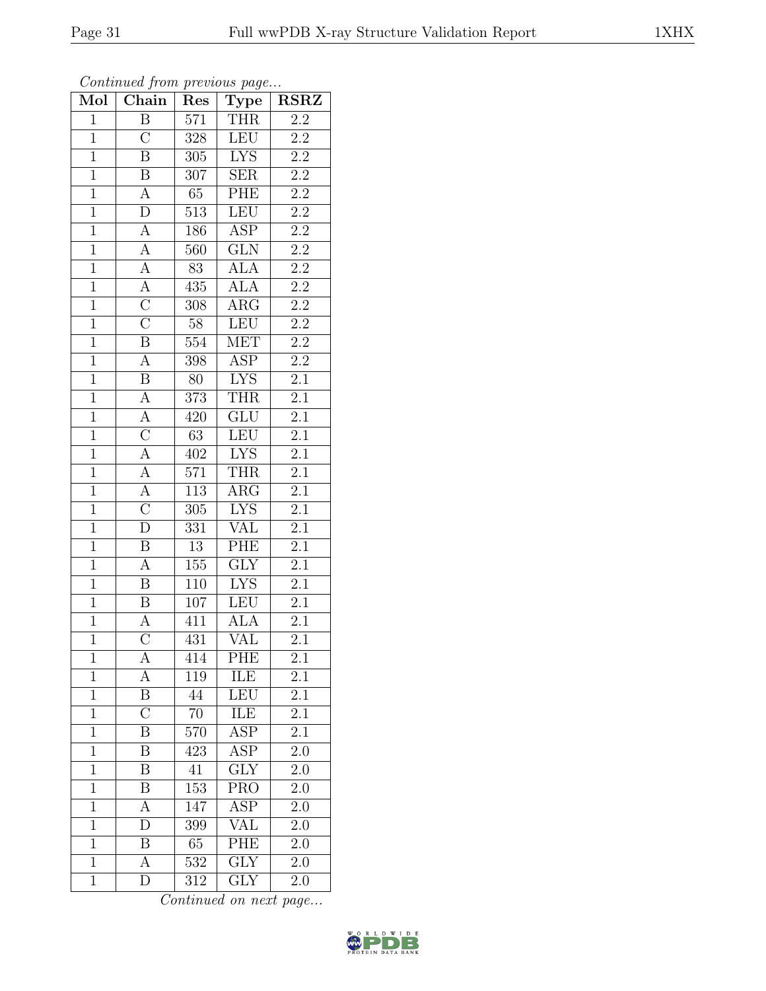| Mol            | Chain                   | Res              | Type                            | $\overline{\text{RSR}}$ |
|----------------|-------------------------|------------------|---------------------------------|-------------------------|
| $\mathbf{1}$   | $\overline{B}$          | 571              | <b>THR</b>                      | 2.2                     |
| $\overline{1}$ | $\overline{\rm C}$      | 328              | <b>LEU</b>                      | $2.2\,$                 |
| $\mathbf{1}$   | $\overline{\mathbf{B}}$ | $\overline{305}$ | <b>LYS</b>                      | $\overline{2.2}$        |
| $\mathbf{1}$   | $\, {\bf B}$            | 307              | <b>SER</b>                      | $\overline{2.2}$        |
| $\overline{1}$ | $\overline{A}$          | 65               | PHE                             | $\overline{2.2}$        |
| $\mathbf{1}$   | $\mathbf{D}$            | $\overline{5}13$ | <b>LEU</b>                      | $\overline{2.2}$        |
| $\overline{1}$ | $\overline{A}$          | 186              | <b>ASP</b>                      | $\overline{2.2}$        |
| $\overline{1}$ | $\overline{A}$          | 560              | GLN                             | $\overline{2.2}$        |
| $\mathbf{1}$   | $\overline{A}$          | 83               | <b>ALA</b>                      | $\overline{2.2}$        |
| $\overline{1}$ | $\overline{A}$          | 435              | <b>ALA</b>                      | $\overline{2.2}$        |
| $\overline{1}$ | $\overline{C}$          | 308              | $\rm{ARG}$                      | $\overline{2.2}$        |
| $\overline{1}$ | $\overline{\rm C}$      | $\overline{58}$  | LEU                             | $\overline{2.2}$        |
| $\overline{1}$ | $\overline{\mathbf{B}}$ | $\overline{554}$ | <b>MET</b>                      | $\overline{2.2}$        |
| $\overline{1}$ | $\overline{A}$          | 398              | $\overline{\text{ASP}}$         | $\overline{2.2}$        |
| $\overline{1}$ | $\overline{\mathrm{B}}$ | $\overline{80}$  | <b>LYS</b>                      | $\overline{2.1}$        |
| $\overline{1}$ | $\overline{A}$          | 373              | <b>THR</b>                      | $\overline{2.1}$        |
| $\overline{1}$ | $\overline{A}$          | 420              | GLU                             | $\overline{2.1}$        |
| $\overline{1}$ | $\overline{\rm C}$      | 63               | <b>LEU</b>                      | $\overline{2.1}$        |
| $\overline{1}$ | $\overline{\rm A}$      | 402              | $\overline{\text{L} \text{YS}}$ | $\overline{2.1}$        |
| $\overline{1}$ | $\overline{A}$          | 571              | <b>THR</b>                      | $\overline{2.1}$        |
| $\overline{1}$ | $\overline{A}$          | 113              | $\rm{ARG}$                      | $\overline{2.1}$        |
| $\overline{1}$ | $\overline{\rm C}$      | 305              | <b>LYS</b>                      | $\overline{2.1}$        |
| $\mathbf{1}$   | $\overline{D}$          | 331              | <b>VAL</b>                      | 2.1                     |
| $\overline{1}$ | $\overline{\mathrm{B}}$ | $\overline{13}$  | PHE                             | 2.1                     |
| $\overline{1}$ | $\overline{A}$          | 155              | $\overline{\text{GLY}}$         | $\overline{2.1}$        |
| $\overline{1}$ | $\, {\bf B}$            | 110              | <b>LYS</b>                      | $\overline{2.1}$        |
| $\overline{1}$ | $\overline{\mathbf{B}}$ | 107              | <b>LEU</b>                      | $\overline{2.1}$        |
| $\mathbf{1}$   | $\overline{A}$          | 411              | <b>ALA</b>                      | 2.1                     |
| $\overline{1}$ | $\overline{\rm C}$      | 431              | $\overline{\text{VAL}}$         | 2.1                     |
| 1              | А                       | 414              | PHE                             | $\overline{2.1}$        |
| $\mathbf{1}$   | А                       | 119              | ILE                             | 2.1                     |
| $\mathbf{1}$   | $\overline{\mathrm{B}}$ | 44               | LEU                             | $\overline{2.1}$        |
| $\mathbf{1}$   | $\overline{C}$          | 70               | ILE                             | $2.\overline{1}$        |
| $\mathbf{1}$   | $\overline{\mathrm{B}}$ | $\overline{570}$ | $\overline{\text{ASP}}$         | $\overline{2.1}$        |
| $\mathbf{1}$   | Β                       | 423              | ASP                             | $2.\overline{0}$        |
| $\overline{1}$ | $\overline{\mathrm{B}}$ | 41               | $\overline{\mathrm{GLY}}$       | 2.0                     |
| $\mathbf{1}$   | Β                       | 153              | <b>PRO</b>                      | 2.0                     |
| $\overline{1}$ | А                       | 147              | $A\overline{SP}$                | 2.0                     |
| $\mathbf{1}$   | D                       | 399              | VAL                             | 2.0                     |
| $\overline{1}$ | B                       | $65\,$           | PHE                             | 2.0                     |
| $\mathbf{1}$   | А                       | 532              | $\overline{GLY}$                | 2.0                     |
| $\mathbf{1}$   | D                       | 312              | $\overline{\text{G}}\text{LY}$  | $2.0\,$                 |